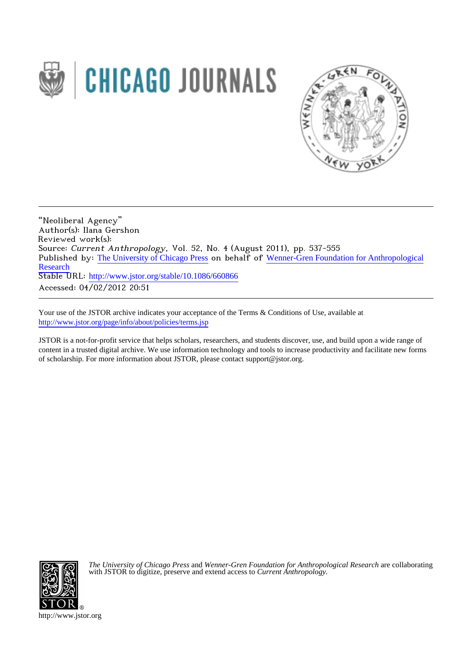



"Neoliberal Agency" Author(s): Ilana Gershon Reviewed work(s): Source: Current Anthropology, Vol. 52, No. 4 (August 2011), pp. 537-555 Published by: [The University of Chicago Press](http://www.jstor.org/action/showPublisher?publisherCode=ucpress) on behalf of [Wenner-Gren Foundation for Anthropological](http://www.jstor.org/action/showPublisher?publisherCode=wennergren) [Research](http://www.jstor.org/action/showPublisher?publisherCode=wennergren) Stable URL: http://www.jstor.org/stable/10.1086/660866 Accessed: 04/02/2012 20:51

Your use of the JSTOR archive indicates your acceptance of the Terms & Conditions of Use, available at <http://www.jstor.org/page/info/about/policies/terms.jsp>

JSTOR is a not-for-profit service that helps scholars, researchers, and students discover, use, and build upon a wide range of content in a trusted digital archive. We use information technology and tools to increase productivity and facilitate new forms of scholarship. For more information about JSTOR, please contact support@jstor.org.



*The University of Chicago Press* and *Wenner-Gren Foundation for Anthropological Research* are collaborating with JSTOR to digitize, preserve and extend access to *Current Anthropology.*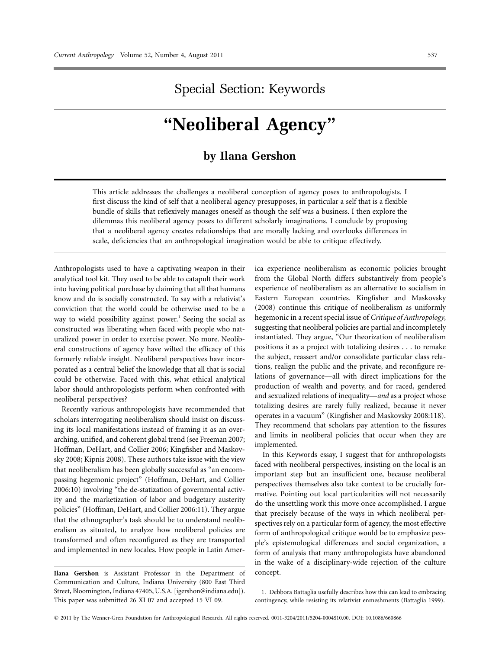# Special Section: Keywords

# **"Neoliberal Agency"**

## **by Ilana Gershon**

This article addresses the challenges a neoliberal conception of agency poses to anthropologists. I first discuss the kind of self that a neoliberal agency presupposes, in particular a self that is a flexible bundle of skills that reflexively manages oneself as though the self was a business. I then explore the dilemmas this neoliberal agency poses to different scholarly imaginations. I conclude by proposing that a neoliberal agency creates relationships that are morally lacking and overlooks differences in scale, deficiencies that an anthropological imagination would be able to critique effectively.

Anthropologists used to have a captivating weapon in their analytical tool kit. They used to be able to catapult their work into having political purchase by claiming that all that humans know and do is socially constructed. To say with a relativist's conviction that the world could be otherwise used to be a way to wield possibility against power.<sup>1</sup> Seeing the social as constructed was liberating when faced with people who naturalized power in order to exercise power. No more. Neoliberal constructions of agency have wilted the efficacy of this formerly reliable insight. Neoliberal perspectives have incorporated as a central belief the knowledge that all that is social could be otherwise. Faced with this, what ethical analytical labor should anthropologists perform when confronted with neoliberal perspectives?

Recently various anthropologists have recommended that scholars interrogating neoliberalism should insist on discussing its local manifestations instead of framing it as an overarching, unified, and coherent global trend (see Freeman 2007; Hoffman, DeHart, and Collier 2006; Kingfisher and Maskovsky 2008; Kipnis 2008). These authors take issue with the view that neoliberalism has been globally successful as "an encompassing hegemonic project" (Hoffman, DeHart, and Collier 2006:10) involving "the de-statization of governmental activity and the marketization of labor and budgetary austerity policies" (Hoffman, DeHart, and Collier 2006:11). They argue that the ethnographer's task should be to understand neoliberalism as situated, to analyze how neoliberal policies are transformed and often reconfigured as they are transported and implemented in new locales. How people in Latin America experience neoliberalism as economic policies brought from the Global North differs substantively from people's experience of neoliberalism as an alternative to socialism in Eastern European countries. Kingfisher and Maskovsky (2008) continue this critique of neoliberalism as uniformly hegemonic in a recent special issue of *Critique of Anthropology*, suggesting that neoliberal policies are partial and incompletely instantiated. They argue, "Our theorization of neoliberalism positions it as a project with totalizing desires . . . to remake the subject, reassert and/or consolidate particular class relations, realign the public and the private, and reconfigure relations of governance—all with direct implications for the production of wealth and poverty, and for raced, gendered and sexualized relations of inequality—*and* as a project whose totalizing desires are rarely fully realized, because it never operates in a vacuum" (Kingfisher and Maskovsky 2008:118). They recommend that scholars pay attention to the fissures and limits in neoliberal policies that occur when they are implemented.

In this Keywords essay, I suggest that for anthropologists faced with neoliberal perspectives, insisting on the local is an important step but an insufficient one, because neoliberal perspectives themselves also take context to be crucially formative. Pointing out local particularities will not necessarily do the unsettling work this move once accomplished. I argue that precisely because of the ways in which neoliberal perspectives rely on a particular form of agency, the most effective form of anthropological critique would be to emphasize people's epistemological differences and social organization, a form of analysis that many anthropologists have abandoned in the wake of a disciplinary-wide rejection of the culture concept.

1. Debbora Battaglia usefully describes how this can lead to embracing contingency, while resisting its relativist enmeshments (Battaglia 1999).

**Ilana Gershon** is Assistant Professor in the Department of Communication and Culture, Indiana University (800 East Third Street, Bloomington, Indiana 47405, U.S.A. [\[igershon@indiana.edu\]](mailto:igershon@indiana.edu)). This paper was submitted 26 XI 07 and accepted 15 VI 09.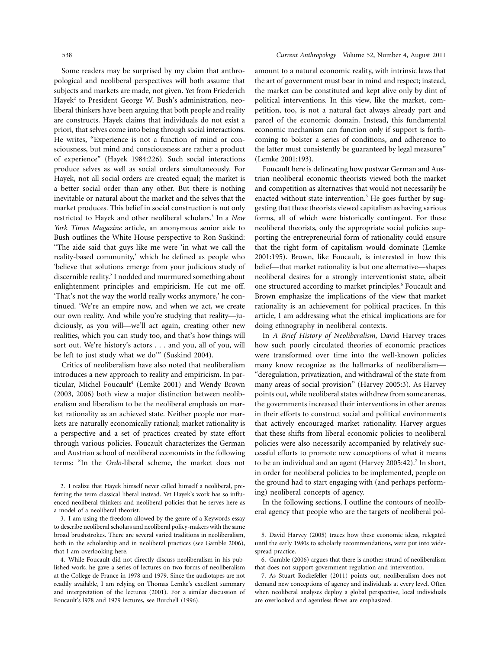Some readers may be surprised by my claim that anthropological and neoliberal perspectives will both assume that subjects and markets are made, not given. Yet from Friederich Hayek<sup>2</sup> to President George W. Bush's administration, neoliberal thinkers have been arguing that both people and reality are constructs. Hayek claims that individuals do not exist a priori, that selves come into being through social interactions. He writes, "Experience is not a function of mind or consciousness, but mind and consciousness are rather a product of experience" (Hayek 1984:226). Such social interactions produce selves as well as social orders simultaneously. For Hayek, not all social orders are created equal; the market is a better social order than any other. But there is nothing inevitable or natural about the market and the selves that the market produces. This belief in social construction is not only restricted to Hayek and other neoliberal scholars.3 In a *New York Times Magazine* article, an anonymous senior aide to Bush outlines the White House perspective to Ron Suskind: "The aide said that guys like me were 'in what we call the reality-based community,' which he defined as people who 'believe that solutions emerge from your judicious study of discernible reality.' I nodded and murmured something about enlightenment principles and empiricism. He cut me off. 'That's not the way the world really works anymore,' he continued. 'We're an empire now, and when we act, we create our own reality. And while you're studying that reality—judiciously, as you will—we'll act again, creating other new realities, which you can study too, and that's how things will sort out. We're history's actors . . . and you, all of you, will be left to just study what we do'" (Suskind 2004).

Critics of neoliberalism have also noted that neoliberalism introduces a new approach to reality and empiricism. In particular, Michel Foucault<sup>4</sup> (Lemke 2001) and Wendy Brown (2003, 2006) both view a major distinction between neoliberalism and liberalism to be the neoliberal emphasis on market rationality as an achieved state. Neither people nor markets are naturally economically rational; market rationality is a perspective and a set of practices created by state effort through various policies. Foucault characterizes the German and Austrian school of neoliberal economists in the following terms: "In the *Ordo*-liberal scheme, the market does not

amount to a natural economic reality, with intrinsic laws that the art of government must bear in mind and respect; instead, the market can be constituted and kept alive only by dint of political interventions. In this view, like the market, competition, too, is not a natural fact always already part and parcel of the economic domain. Instead, this fundamental economic mechanism can function only if support is forthcoming to bolster a series of conditions, and adherence to the latter must consistently be guaranteed by legal measures" (Lemke 2001:193).

Foucault here is delineating how postwar German and Austrian neoliberal economic theorists viewed both the market and competition as alternatives that would not necessarily be enacted without state intervention.<sup>5</sup> He goes further by suggesting that these theorists viewed capitalism as having various forms, all of which were historically contingent. For these neoliberal theorists, only the appropriate social policies supporting the entrepreneurial form of rationality could ensure that the right form of capitalism would dominate (Lemke 2001:195). Brown, like Foucault, is interested in how this belief—that market rationality is but one alternative—shapes neoliberal desires for a strongly interventionist state, albeit one structured according to market principles.<sup>6</sup> Foucault and Brown emphasize the implications of the view that market rationality is an achievement for political practices. In this article, I am addressing what the ethical implications are for doing ethnography in neoliberal contexts.

In *A Brief History of Neoliberalism*, David Harvey traces how such poorly circulated theories of economic practices were transformed over time into the well-known policies many know recognize as the hallmarks of neoliberalism— "deregulation, privatization, and withdrawal of the state from many areas of social provision" (Harvey 2005:3). As Harvey points out, while neoliberal states withdrew from some arenas, the governments increased their interventions in other arenas in their efforts to construct social and political environments that actively encouraged market rationality. Harvey argues that these shifts from liberal economic policies to neoliberal policies were also necessarily accompanied by relatively successful efforts to promote new conceptions of what it means to be an individual and an agent (Harvey  $2005:42$ ).<sup>7</sup> In short, in order for neoliberal policies to be implemented, people on the ground had to start engaging with (and perhaps performing) neoliberal concepts of agency.

In the following sections, I outline the contours of neoliberal agency that people who are the targets of neoliberal pol-

<sup>2.</sup> I realize that Hayek himself never called himself a neoliberal, preferring the term classical liberal instead. Yet Hayek's work has so influenced neoliberal thinkers and neoliberal policies that he serves here as a model of a neoliberal theorist.

<sup>3.</sup> I am using the freedom allowed by the genre of a Keywords essay to describe neoliberal scholars and neoliberal policy-makers with the same broad brushstrokes. There are several varied traditions in neoliberalism, both in the scholarship and in neoliberal practices (see Gamble 2006), that I am overlooking here.

<sup>4.</sup> While Foucault did not directly discuss neoliberalism in his published work, he gave a series of lectures on two forms of neoliberalism at the College de France in 1978 and 1979. Since the audiotapes are not readily available, I am relying on Thomas Lemke's excellent summary and interpretation of the lectures (2001). For a similar discussion of Foucault's l978 and 1979 lectures, see Burchell (1996).

<sup>5.</sup> David Harvey (2005) traces how these economic ideas, relegated until the early 1980s to scholarly recommendations, were put into widespread practice.

<sup>6.</sup> Gamble (2006) argues that there is another strand of neoliberalism that does not support government regulation and intervention.

<sup>7.</sup> As Stuart Rockefeller (2011) points out, neoliberalism does not demand new conceptions of agency and individuals at every level. Often when neoliberal analyses deploy a global perspective, local individuals are overlooked and agentless flows are emphasized.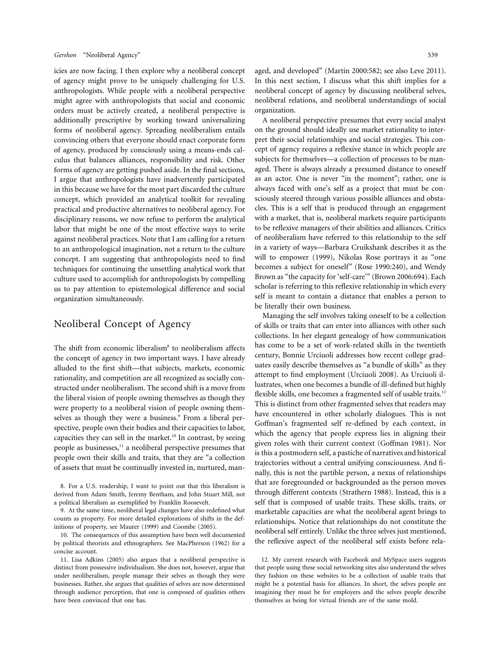icies are now facing. I then explore why a neoliberal concept of agency might prove to be uniquely challenging for U.S. anthropologists. While people with a neoliberal perspective might agree with anthropologists that social and economic orders must be actively created, a neoliberal perspective is additionally prescriptive by working toward universalizing forms of neoliberal agency. Spreading neoliberalism entails convincing others that everyone should enact corporate form of agency, produced by consciously using a means-ends calculus that balances alliances, responsibility and risk. Other forms of agency are getting pushed aside. In the final sections, I argue that anthropologists have inadvertently participated in this because we have for the most part discarded the culture concept, which provided an analytical toolkit for revealing practical and productive alternatives to neoliberal agency. For disciplinary reasons, we now refuse to perform the analytical labor that might be one of the most effective ways to write against neoliberal practices. Note that I am calling for a return to an anthropological imagination, not a return to the culture concept. I am suggesting that anthropologists need to find techniques for continuing the unsettling analytical work that culture used to accomplish for anthropologists by compelling us to pay attention to epistemological difference and social organization simultaneously.

## Neoliberal Concept of Agency

The shift from economic liberalism $\delta$  to neoliberalism affects the concept of agency in two important ways. I have already alluded to the first shift—that subjects, markets, economic rationality, and competition are all recognized as socially constructed under neoliberalism. The second shift is a move from the liberal vision of people owning themselves as though they were property to a neoliberal vision of people owning themselves as though they were a business.<sup>9</sup> From a liberal perspective, people own their bodies and their capacities to labor, capacities they can sell in the market.<sup>10</sup> In contrast, by seeing people as businesses, $11$  a neoliberal perspective presumes that people own their skills and traits, that they are "a collection of assets that must be continually invested in, nurtured, man-

10. The consequences of this assumption have been well documented by political theorists and ethnographers. See MacPherson (1962) for a concise account.

aged, and developed" (Martin 2000:582; see also Leve 2011). In this next section, I discuss what this shift implies for a neoliberal concept of agency by discussing neoliberal selves, neoliberal relations, and neoliberal understandings of social organization.

A neoliberal perspective presumes that every social analyst on the ground should ideally use market rationality to interpret their social relationships and social strategies. This concept of agency requires a reflexive stance in which people are subjects for themselves—a collection of processes to be managed. There is always already a presumed distance to oneself as an actor. One is never "in the moment"; rather, one is always faced with one's self as a project that must be consciously steered through various possible alliances and obstacles. This is a self that is produced through an engagement with a market, that is, neoliberal markets require participants to be reflexive managers of their abilities and alliances. Critics of neoliberalism have referred to this relationship to the self in a variety of ways—Barbara Cruikshank describes it as the will to empower (1999), Nikolas Rose portrays it as "one becomes a subject for oneself" (Rose 1990:240), and Wendy Brown as "the capacity for 'self-care'" (Brown 2006:694). Each scholar is referring to this reflexive relationship in which every self is meant to contain a distance that enables a person to be literally their own business.

Managing the self involves taking oneself to be a collection of skills or traits that can enter into alliances with other such collections. In her elegant genealogy of how communication has come to be a set of work-related skills in the twentieth century, Bonnie Urciuoli addresses how recent college graduates easily describe themselves as "a bundle of skills" as they attempt to find employment (Urciuoli 2008). As Urciuoli illustrates, when one becomes a bundle of ill-defined but highly flexible skills, one becomes a fragmented self of usable traits.<sup>12</sup> This is distinct from other fragmented selves that readers may have encountered in other scholarly dialogues. This is not Goffman's fragmented self re-defined by each context, in which the agency that people express lies in aligning their given roles with their current context (Goffman 1981). Nor is this a postmodern self, a pastiche of narratives and historical trajectories without a central unifying consciousness. And finally, this is not the partible person, a nexus of relationships that are foregrounded or backgrounded as the person moves through different contexts (Strathern 1988). Instead, this is a self that is composed of usable traits. These skills, traits, or marketable capacities are what the neoliberal agent brings to relationships. Notice that relationships do not constitute the neoliberal self entirely. Unlike the three selves just mentioned, the reflexive aspect of the neoliberal self exists before rela-

12. My current research with Facebook and MySpace users suggests that people using these social networking sites also understand the selves they fashion on these websites to be a collection of usable traits that might be a potential basis for alliances. In short, the selves people are imagining they must be for employers and the selves people describe themselves as being for virtual friends are of the same mold.

<sup>8.</sup> For a U.S. readership, I want to point out that this liberalism is derived from Adam Smith, Jeremy Bentham, and John Stuart Mill, not a political liberalism as exemplified by Franklin Roosevelt.

<sup>9.</sup> At the same time, neoliberal legal changes have also redefined what counts as property. For more detailed explorations of shifts in the definitions of property, see Maurer (1999) and Coombe (2005).

<sup>11.</sup> Lisa Adkins (2005) also argues that a neoliberal perspective is distinct from possessive individualism. She does not, however, argue that under neoliberalism, people manage their selves as though they were businesses. Rather, she argues that qualities of selves are now determined through audience perception, that one is composed of qualities others have been convinced that one has.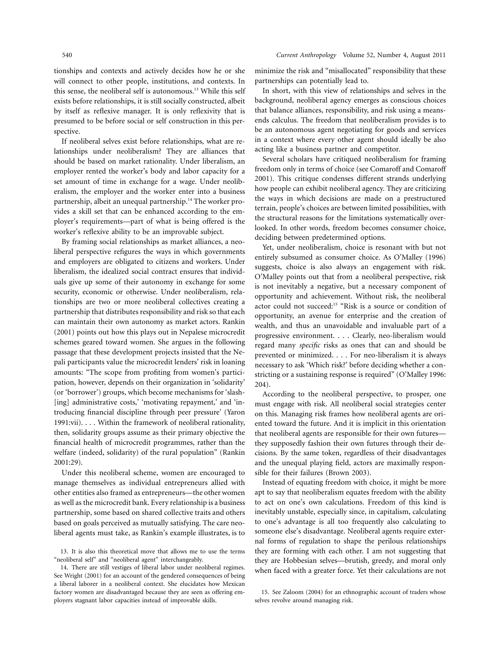tionships and contexts and actively decides how he or she will connect to other people, institutions, and contexts. In this sense, the neoliberal self is autonomous.<sup>13</sup> While this self exists before relationships, it is still socially constructed, albeit by itself as reflexive manager. It is only reflexivity that is presumed to be before social or self construction in this perspective.

If neoliberal selves exist before relationships, what are relationships under neoliberalism? They are alliances that should be based on market rationality. Under liberalism, an employer rented the worker's body and labor capacity for a set amount of time in exchange for a wage. Under neoliberalism, the employer and the worker enter into a business partnership, albeit an unequal partnership.<sup>14</sup> The worker provides a skill set that can be enhanced according to the employer's requirements—part of what is being offered is the worker's reflexive ability to be an improvable subject.

By framing social relationships as market alliances, a neoliberal perspective refigures the ways in which governments and employers are obligated to citizens and workers. Under liberalism, the idealized social contract ensures that individuals give up some of their autonomy in exchange for some security, economic or otherwise. Under neoliberalism, relationships are two or more neoliberal collectives creating a partnership that distributes responsibility and risk so that each can maintain their own autonomy as market actors. Rankin (2001) points out how this plays out in Nepalese microcredit schemes geared toward women. She argues in the following passage that these development projects insisted that the Nepali participants value the microcredit lenders' risk in loaning amounts: "The scope from profiting from women's participation, however, depends on their organization in 'solidarity' (or 'borrower') groups, which become mechanisms for 'slash- [ing] administrative costs,' 'motivating repayment,' and 'introducing financial discipline through peer pressure' (Yaron 1991:vii). . . . Within the framework of neoliberal rationality, then, solidarity groups assume as their primary objective the financial health of microcredit programmes, rather than the welfare (indeed, solidarity) of the rural population" (Rankin 2001:29).

Under this neoliberal scheme, women are encouraged to manage themselves as individual entrepreneurs allied with other entities also framed as entrepreneurs—the other women as well as the microcredit bank. Every relationship is a business partnership, some based on shared collective traits and others based on goals perceived as mutually satisfying. The care neoliberal agents must take, as Rankin's example illustrates, is to

13. It is also this theoretical move that allows me to use the terms "neoliberal self" and "neoliberal agent" interchangeably.

14. There are still vestiges of liberal labor under neoliberal regimes. See Wright (2001) for an account of the gendered consequences of being a liberal laborer in a neoliberal context. She elucidates how Mexican factory women are disadvantaged because they are seen as offering employers stagnant labor capacities instead of improvable skills.

minimize the risk and "misallocated" responsibility that these partnerships can potentially lead to.

In short, with this view of relationships and selves in the background, neoliberal agency emerges as conscious choices that balance alliances, responsibility, and risk using a meansends calculus. The freedom that neoliberalism provides is to be an autonomous agent negotiating for goods and services in a context where every other agent should ideally be also acting like a business partner and competitor.

Several scholars have critiqued neoliberalism for framing freedom only in terms of choice (see Comaroff and Comaroff 2001). This critique condenses different strands underlying how people can exhibit neoliberal agency. They are criticizing the ways in which decisions are made on a prestructured terrain, people's choices are between limited possibilities, with the structural reasons for the limitations systematically overlooked. In other words, freedom becomes consumer choice, deciding between predetermined options.

Yet, under neoliberalism, choice is resonant with but not entirely subsumed as consumer choice. As O'Malley (1996) suggests, choice is also always an engagement with risk. O'Malley points out that from a neoliberal perspective, risk is not inevitably a negative, but a necessary component of opportunity and achievement. Without risk, the neoliberal actor could not succeed:<sup>15</sup> "Risk is a source or condition of opportunity, an avenue for enterprise and the creation of wealth, and thus an unavoidable and invaluable part of a progressive environment. . . . Clearly, neo-liberalism would regard many *specific* risks as ones that can and should be prevented or minimized. . . . For neo-liberalism it is always necessary to ask 'Which risk?' before deciding whether a constricting or a sustaining response is required" (O'Malley 1996: 204).

According to the neoliberal perspective, to prosper, one must engage with risk. All neoliberal social strategies center on this. Managing risk frames how neoliberal agents are oriented toward the future. And it is implicit in this orientation that neoliberal agents are responsible for their own futures they supposedly fashion their own futures through their decisions. By the same token, regardless of their disadvantages and the unequal playing field, actors are maximally responsible for their failures (Brown 2003).

Instead of equating freedom with choice, it might be more apt to say that neoliberalism equates freedom with the ability to act on one's own calculations. Freedom of this kind is inevitably unstable, especially since, in capitalism, calculating to one's advantage is all too frequently also calculating to someone else's disadvantage. Neoliberal agents require external forms of regulation to shape the perilous relationships they are forming with each other. I am not suggesting that they are Hobbesian selves—brutish, greedy, and moral only when faced with a greater force. Yet their calculations are not

<sup>15.</sup> See Zaloom (2004) for an ethnographic account of traders whose selves revolve around managing risk.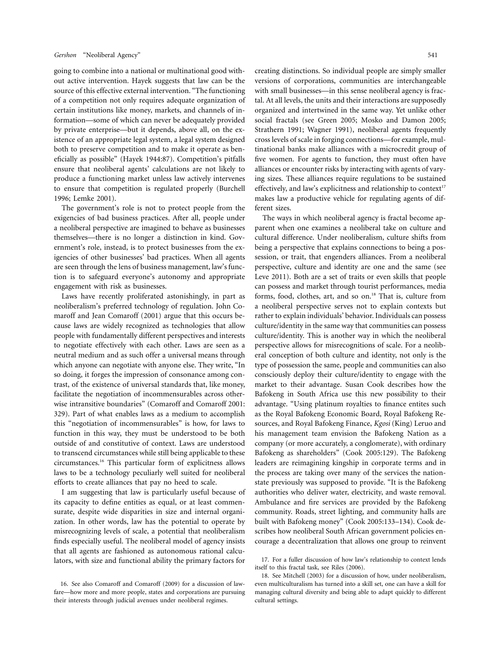going to combine into a national or multinational good without active intervention. Hayek suggests that law can be the source of this effective external intervention. "The functioning of a competition not only requires adequate organization of certain institutions like money, markets, and channels of information—some of which can never be adequately provided by private enterprise—but it depends, above all, on the existence of an appropriate legal system, a legal system designed both to preserve competition and to make it operate as beneficially as possible" (Hayek 1944:87). Competition's pitfalls ensure that neoliberal agents' calculations are not likely to produce a functioning market unless law actively intervenes to ensure that competition is regulated properly (Burchell 1996; Lemke 2001).

The government's role is not to protect people from the exigencies of bad business practices. After all, people under a neoliberal perspective are imagined to behave as businesses themselves—there is no longer a distinction in kind. Government's role, instead, is to protect businesses from the exigencies of other businesses' bad practices. When all agents are seen through the lens of business management, law's function is to safeguard everyone's autonomy and appropriate engagement with risk as businesses.

Laws have recently proliferated astonishingly, in part as neoliberalism's preferred technology of regulation. John Comaroff and Jean Comaroff (2001) argue that this occurs because laws are widely recognized as technologies that allow people with fundamentally different perspectives and interests to negotiate effectively with each other. Laws are seen as a neutral medium and as such offer a universal means through which anyone can negotiate with anyone else. They write, "In so doing, it forges the impression of consonance among contrast, of the existence of universal standards that, like money, facilitate the negotiation of incommensurables across otherwise intransitive boundaries" (Comaroff and Comaroff 2001: 329). Part of what enables laws as a medium to accomplish this "negotiation of incommensurables" is how, for laws to function in this way, they must be understood to be both outside of and constitutive of context. Laws are understood to transcend circumstances while still being applicable to these circumstances.16 This particular form of explicitness allows laws to be a technology peculiarly well suited for neoliberal efforts to create alliances that pay no heed to scale.

I am suggesting that law is particularly useful because of its capacity to define entities as equal, or at least commensurate, despite wide disparities in size and internal organization. In other words, law has the potential to operate by misrecognizing levels of scale, a potential that neoliberalism finds especially useful. The neoliberal model of agency insists that all agents are fashioned as autonomous rational calculators, with size and functional ability the primary factors for

16. See also Comaroff and Comaroff (2009) for a discussion of lawfare—how more and more people, states and corporations are pursuing their interests through judicial avenues under neoliberal regimes.

creating distinctions. So individual people are simply smaller versions of corporations, communities are interchangeable with small businesses—in this sense neoliberal agency is fractal. At all levels, the units and their interactions are supposedly organized and intertwined in the same way. Yet unlike other social fractals (see Green 2005; Mosko and Damon 2005; Strathern 1991; Wagner 1991), neoliberal agents frequently cross levels of scale in forging connections—for example, multinational banks make alliances with a microcredit group of five women. For agents to function, they must often have alliances or encounter risks by interacting with agents of varying sizes. These alliances require regulations to be sustained effectively, and law's explicitness and relationship to context<sup>17</sup> makes law a productive vehicle for regulating agents of different sizes.

The ways in which neoliberal agency is fractal become apparent when one examines a neoliberal take on culture and cultural difference. Under neoliberalism, culture shifts from being a perspective that explains connections to being a possession, or trait, that engenders alliances. From a neoliberal perspective, culture and identity are one and the same (see Leve 2011). Both are a set of traits or even skills that people can possess and market through tourist performances, media forms, food, clothes, art, and so on.<sup>18</sup> That is, culture from a neoliberal perspective serves not to explain contexts but rather to explain individuals' behavior. Individuals can possess culture/identity in the same way that communities can possess culture/identity. This is another way in which the neoliberal perspective allows for misrecognitions of scale. For a neoliberal conception of both culture and identity, not only is the type of possession the same, people and communities can also consciously deploy their culture/identity to engage with the market to their advantage. Susan Cook describes how the Bafokeng in South Africa use this new possibility to their advantage. "Using platinum royalties to finance entites such as the Royal Bafokeng Economic Board, Royal Bafokeng Resources, and Royal Bafokeng Finance, *Kgosi* (King) Leruo and his management team envision the Bafokeng Nation as a company (or more accurately, a conglomerate), with ordinary Bafokeng as shareholders" (Cook 2005:129). The Bafokeng leaders are reimagining kingship in corporate terms and in the process are taking over many of the services the nationstate previously was supposed to provide. "It is the Bafokeng authorities who deliver water, electricity, and waste removal. Ambulance and fire services are provided by the Bafokeng community. Roads, street lighting, and community halls are built with Bafokeng money" (Cook 2005:133–134). Cook describes how neoliberal South African government policies encourage a decentralization that allows one group to reinvent

<sup>17.</sup> For a fuller discussion of how law's relationship to context lends itself to this fractal task, see Riles (2006).

<sup>18.</sup> See Mitchell (2003) for a discussion of how, under neoliberalism, even multiculturalism has turned into a skill set, one can have a skill for managing cultural diversity and being able to adapt quickly to different cultural settings.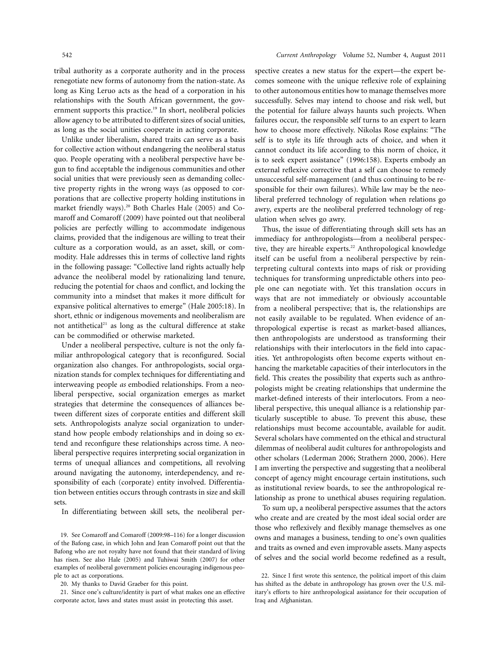tribal authority as a corporate authority and in the process renegotiate new forms of autonomy from the nation-state. As long as King Leruo acts as the head of a corporation in his relationships with the South African government, the government supports this practice.<sup>19</sup> In short, neoliberal policies allow agency to be attributed to different sizes of social unities, as long as the social unities cooperate in acting corporate.

Unlike under liberalism, shared traits can serve as a basis for collective action without endangering the neoliberal status quo. People operating with a neoliberal perspective have begun to find acceptable the indigenous communities and other social unities that were previously seen as demanding collective property rights in the wrong ways (as opposed to corporations that are collective property holding institutions in market friendly ways).<sup>20</sup> Both Charles Hale (2005) and Comaroff and Comaroff (2009) have pointed out that neoliberal policies are perfectly willing to accommodate indigenous claims, provided that the indigenous are willing to treat their culture as a corporation would, as an asset, skill, or commodity. Hale addresses this in terms of collective land rights in the following passage: "Collective land rights actually help advance the neoliberal model by rationalizing land tenure, reducing the potential for chaos and conflict, and locking the community into a mindset that makes it more difficult for expansive political alternatives to emerge" (Hale 2005:18). In short, ethnic or indigenous movements and neoliberalism are not antithetical<sup>21</sup> as long as the cultural difference at stake can be commodified or otherwise marketed.

Under a neoliberal perspective, culture is not the only familiar anthropological category that is reconfigured. Social organization also changes. For anthropologists, social organization stands for complex techniques for differentiating and interweaving people *as* embodied relationships. From a neoliberal perspective, social organization emerges as market strategies that determine the consequences of alliances between different sizes of corporate entities and different skill sets. Anthropologists analyze social organization to understand how people embody relationships and in doing so extend and reconfigure these relationships across time. A neoliberal perspective requires interpreting social organization in terms of unequal alliances and competitions, all revolving around navigating the autonomy, interdependency, and responsibility of each (corporate) entity involved. Differentiation between entities occurs through contrasts in size and skill sets.

In differentiating between skill sets, the neoliberal per-

19. See Comaroff and Comaroff (2009:98–116) for a longer discussion of the Bafong case, in which John and Jean Comaroff point out that the Bafong who are not royalty have not found that their standard of living has risen. See also Hale (2005) and Tuhiwai Smith (2007) for other examples of neoliberal government policies encouraging indigenous people to act as corporations.

20. My thanks to David Graeber for this point.

21. Since one's culture/identity is part of what makes one an effective corporate actor, laws and states must assist in protecting this asset.

spective creates a new status for the expert—the expert becomes someone with the unique reflexive role of explaining to other autonomous entities how to manage themselves more successfully. Selves may intend to choose and risk well, but the potential for failure always haunts such projects. When failures occur, the responsible self turns to an expert to learn how to choose more effectively. Nikolas Rose explains: "The self is to style its life through acts of choice, and when it cannot conduct its life according to this norm of choice, it is to seek expert assistance" (1996:158). Experts embody an external reflexive corrective that a self can choose to remedy unsuccessful self-management (and thus continuing to be responsible for their own failures). While law may be the neoliberal preferred technology of regulation when relations go awry, experts are the neoliberal preferred technology of regulation when selves go awry.

Thus, the issue of differentiating through skill sets has an immediacy for anthropologists—from a neoliberal perspective, they are hireable experts.<sup>22</sup> Anthropological knowledge itself can be useful from a neoliberal perspective by reinterpreting cultural contexts into maps of risk or providing techniques for transforming unpredictable others into people one can negotiate with. Yet this translation occurs in ways that are not immediately or obviously accountable from a neoliberal perspective; that is, the relationships are not easily available to be regulated. When evidence of anthropological expertise is recast as market-based alliances, then anthropologists are understood as transforming their relationships with their interlocutors in the field into capacities. Yet anthropologists often become experts without enhancing the marketable capacities of their interlocutors in the field. This creates the possibility that experts such as anthropologists might be creating relationships that undermine the market-defined interests of their interlocutors. From a neoliberal perspective, this unequal alliance is a relationship particularly susceptible to abuse. To prevent this abuse, these relationships must become accountable, available for audit. Several scholars have commented on the ethical and structural dilemmas of neoliberal audit cultures for anthropologists and other scholars (Lederman 2006; Strathern 2000, 2006). Here I am inverting the perspective and suggesting that a neoliberal concept of agency might encourage certain institutions, such as institutional review boards, to see the anthropological relationship as prone to unethical abuses requiring regulation.

To sum up, a neoliberal perspective assumes that the actors who create and are created by the most ideal social order are those who reflexively and flexibly manage themselves as one owns and manages a business, tending to one's own qualities and traits as owned and even improvable assets. Many aspects of selves and the social world become redefined as a result,

<sup>22.</sup> Since I first wrote this sentence, the political import of this claim has shifted as the debate in anthropology has grown over the U.S. military's efforts to hire anthropological assistance for their occupation of Iraq and Afghanistan.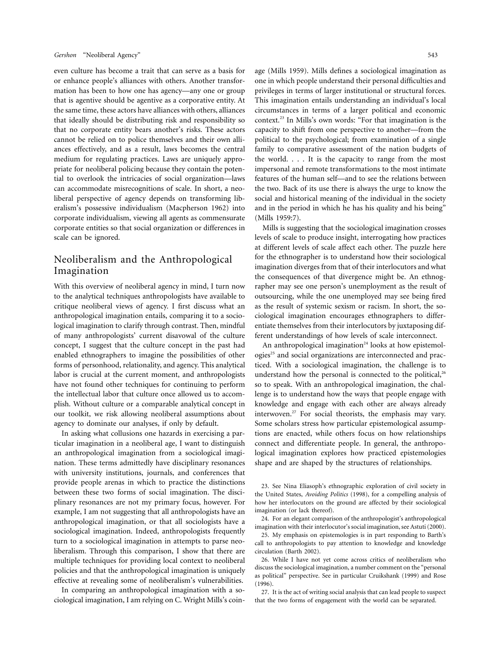even culture has become a trait that can serve as a basis for or enhance people's alliances with others. Another transformation has been to how one has agency—any one or group that is agentive should be agentive as a corporative entity. At the same time, these actors have alliances with others, alliances that ideally should be distributing risk and responsibility so that no corporate entity bears another's risks. These actors cannot be relied on to police themselves and their own alliances effectively, and as a result, laws becomes the central medium for regulating practices. Laws are uniquely appropriate for neoliberal policing because they contain the potential to overlook the intricacies of social organization—laws can accommodate misrecognitions of scale. In short, a neoliberal perspective of agency depends on transforming liberalism's possessive individualism (Macpherson 1962) into corporate individualism, viewing all agents as commensurate corporate entities so that social organization or differences in scale can be ignored.

## Neoliberalism and the Anthropological Imagination

With this overview of neoliberal agency in mind, I turn now to the analytical techniques anthropologists have available to critique neoliberal views of agency. I first discuss what an anthropological imagination entails, comparing it to a sociological imagination to clarify through contrast. Then, mindful of many anthropologists' current disavowal of the culture concept, I suggest that the culture concept in the past had enabled ethnographers to imagine the possibilities of other forms of personhood, relationality, and agency. This analytical labor is crucial at the current moment, and anthropologists have not found other techniques for continuing to perform the intellectual labor that culture once allowed us to accomplish. Without culture or a comparable analytical concept in our toolkit, we risk allowing neoliberal assumptions about agency to dominate our analyses, if only by default.

In asking what collusions one hazards in exercising a particular imagination in a neoliberal age, I want to distinguish an anthropological imagination from a sociological imagination. These terms admittedly have disciplinary resonances with university institutions, journals, and conferences that provide people arenas in which to practice the distinctions between these two forms of social imagination. The disciplinary resonances are not my primary focus, however. For example, I am not suggesting that all anthropologists have an anthropological imagination, or that all sociologists have a sociological imagination. Indeed, anthropologists frequently turn to a sociological imagination in attempts to parse neoliberalism. Through this comparison, I show that there are multiple techniques for providing local context to neoliberal policies and that the anthropological imagination is uniquely effective at revealing some of neoliberalism's vulnerabilities.

In comparing an anthropological imagination with a sociological imagination, I am relying on C. Wright Mills's coin-

age (Mills 1959). Mills defines a sociological imagination as one in which people understand their personal difficulties and privileges in terms of larger institutional or structural forces. This imagination entails understanding an individual's local circumstances in terms of a larger political and economic context.<sup>23</sup> In Mills's own words: "For that imagination is the capacity to shift from one perspective to another—from the political to the psychological; from examination of a single family to comparative assessment of the nation budgets of the world. . . . It is the capacity to range from the most impersonal and remote transformations to the most intimate features of the human self—and to see the relations between the two. Back of its use there is always the urge to know the social and historical meaning of the individual in the society and in the period in which he has his quality and his being" (Mills 1959:7).

Mills is suggesting that the sociological imagination crosses levels of scale to produce insight, interrogating how practices at different levels of scale affect each other. The puzzle here for the ethnographer is to understand how their sociological imagination diverges from that of their interlocutors and what the consequences of that divergence might be. An ethnographer may see one person's unemployment as the result of outsourcing, while the one unemployed may see being fired as the result of systemic sexism or racism. In short, the sociological imagination encourages ethnographers to differentiate themselves from their interlocutors by juxtaposing different understandings of how levels of scale interconnect.

An anthropological imagination<sup>24</sup> looks at how epistemologies<sup>25</sup> and social organizations are interconnected and practiced. With a sociological imagination, the challenge is to understand how the personal is connected to the political,<sup>26</sup> so to speak. With an anthropological imagination, the challenge is to understand how the ways that people engage with knowledge and engage with each other are always already interwoven.27 For social theorists, the emphasis may vary. Some scholars stress how particular epistemological assumptions are enacted, while others focus on how relationships connect and differentiate people. In general, the anthropological imagination explores how practiced epistemologies shape and are shaped by the structures of relationships.

23. See Nina Eliasoph's ethnographic exploration of civil society in the United States, *Avoiding Politics* (1998), for a compelling analysis of how her interlocutors on the ground are affected by their sociological imagination (or lack thereof).

24. For an elegant comparison of the anthropologist's anthropological imagination with their interlocutor's social imagination, see Astuti (2000).

25. My emphasis on epistemologies is in part responding to Barth's call to anthropologists to pay attention to knowledge and knowledge circulation (Barth 2002).

26. While I have not yet come across critics of neoliberalism who discuss the sociological imagination, a number comment on the "personal as political" perspective. See in particular Cruikshank (1999) and Rose (1996).

27. It is the act of writing social analysis that can lead people to suspect that the two forms of engagement with the world can be separated.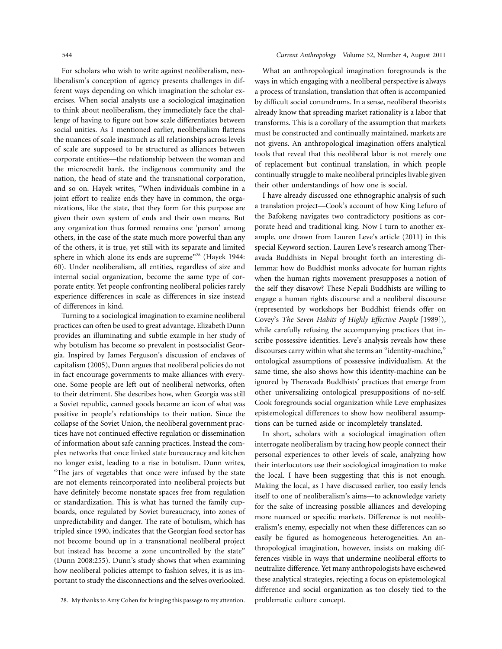For scholars who wish to write against neoliberalism, neoliberalism's conception of agency presents challenges in different ways depending on which imagination the scholar exercises. When social analysts use a sociological imagination to think about neoliberalism, they immediately face the challenge of having to figure out how scale differentiates between social unities. As I mentioned earlier, neoliberalism flattens the nuances of scale inasmuch as all relationships across levels of scale are supposed to be structured as alliances between corporate entities—the relationship between the woman and the microcredit bank, the indigenous community and the nation, the head of state and the transnational corporation, and so on. Hayek writes, "When individuals combine in a joint effort to realize ends they have in common, the organizations, like the state, that they form for this purpose are given their own system of ends and their own means. But any organization thus formed remains one 'person' among others, in the case of the state much more powerful than any of the others, it is true, yet still with its separate and limited sphere in which alone its ends are supreme"<sup>28</sup> (Hayek 1944: 60). Under neoliberalism, all entities, regardless of size and internal social organization, become the same type of corporate entity. Yet people confronting neoliberal policies rarely experience differences in scale as differences in size instead of differences in kind.

Turning to a sociological imagination to examine neoliberal practices can often be used to great advantage. Elizabeth Dunn provides an illuminating and subtle example in her study of why botulism has become so prevalent in postsocialist Georgia. Inspired by James Ferguson's discussion of enclaves of capitalism (2005), Dunn argues that neoliberal policies do not in fact encourage governments to make alliances with everyone. Some people are left out of neoliberal networks, often to their detriment. She describes how, when Georgia was still a Soviet republic, canned goods became an icon of what was positive in people's relationships to their nation. Since the collapse of the Soviet Union, the neoliberal government practices have not continued effective regulation or dissemination of information about safe canning practices. Instead the complex networks that once linked state bureaucracy and kitchen no longer exist, leading to a rise in botulism. Dunn writes, "The jars of vegetables that once were infused by the state are not elements reincorporated into neoliberal projects but have definitely become nonstate spaces free from regulation or standardization. This is what has turned the family cupboards, once regulated by Soviet bureaucracy, into zones of unpredictability and danger. The rate of botulism, which has tripled since 1990, indicates that the Georgian food sector has not become bound up in a transnational neoliberal project but instead has become a zone uncontrolled by the state" (Dunn 2008:255). Dunn's study shows that when examining how neoliberal policies attempt to fashion selves, it is as important to study the disconnections and the selves overlooked.

#### 544 *Current Anthropology* Volume 52, Number 4, August 2011

What an anthropological imagination foregrounds is the ways in which engaging with a neoliberal perspective is always a process of translation, translation that often is accompanied by difficult social conundrums. In a sense, neoliberal theorists already know that spreading market rationality is a labor that transforms. This is a corollary of the assumption that markets must be constructed and continually maintained, markets are not givens. An anthropological imagination offers analytical tools that reveal that this neoliberal labor is not merely one of replacement but continual translation, in which people continually struggle to make neoliberal principles livable given their other understandings of how one is social.

I have already discussed one ethnographic analysis of such a translation project—Cook's account of how King Lefuro of the Bafokeng navigates two contradictory positions as corporate head and traditional king. Now I turn to another example, one drawn from Lauren Leve's article (2011) in this special Keyword section. Lauren Leve's research among Theravada Buddhists in Nepal brought forth an interesting dilemma: how do Buddhist monks advocate for human rights when the human rights movement presupposes a notion of the self they disavow? These Nepali Buddhists are willing to engage a human rights discourse and a neoliberal discourse (represented by workshops her Buddhist friends offer on Covey's *The Seven Habits of Highly Effective People* [1989]), while carefully refusing the accompanying practices that inscribe possessive identities. Leve's analysis reveals how these discourses carry within what she terms an "identity-machine," ontological assumptions of possessive individualism. At the same time, she also shows how this identity-machine can be ignored by Theravada Buddhists' practices that emerge from other universalizing ontological presuppositions of no-self. Cook foregrounds social organization while Leve emphasizes epistemological differences to show how neoliberal assumptions can be turned aside or incompletely translated.

In short, scholars with a sociological imagination often interrogate neoliberalism by tracing how people connect their personal experiences to other levels of scale, analyzing how their interlocutors use their sociological imagination to make the local. I have been suggesting that this is not enough. Making the local, as I have discussed earlier, too easily lends itself to one of neoliberalism's aims—to acknowledge variety for the sake of increasing possible alliances and developing more nuanced or specific markets. Difference is not neoliberalism's enemy, especially not when these differences can so easily be figured as homogeneous heterogeneities. An anthropological imagination, however, insists on making differences visible in ways that undermine neoliberal efforts to neutralize difference. Yet many anthropologists have eschewed these analytical strategies, rejecting a focus on epistemological difference and social organization as too closely tied to the problematic culture concept.

<sup>28.</sup> My thanks to Amy Cohen for bringing this passage to my attention.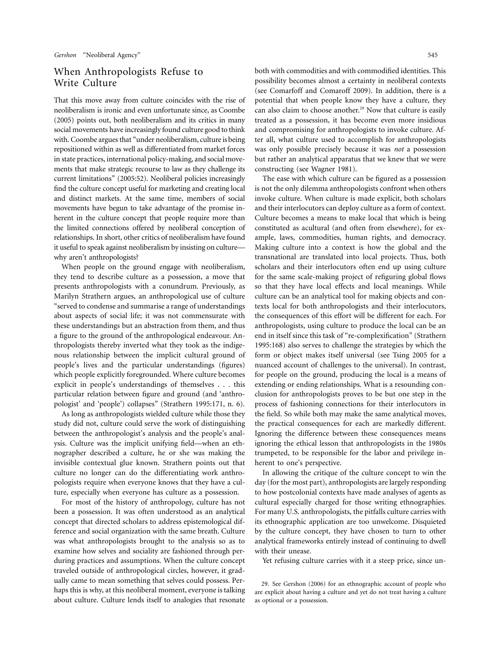## When Anthropologists Refuse to Write Culture

That this move away from culture coincides with the rise of neoliberalism is ironic and even unfortunate since, as Coombe (2005) points out, both neoliberalism and its critics in many social movements have increasingly found culture good to think with. Coombe argues that "under neoliberalism, culture is being repositioned within as well as differentiated from market forces in state practices, international policy-making, and social movements that make strategic recourse to law as they challenge its current limitations" (2005:52). Neoliberal policies increasingly find the culture concept useful for marketing and creating local and distinct markets. At the same time, members of social movements have begun to take advantage of the promise inherent in the culture concept that people require more than the limited connections offered by neoliberal conception of relationships. In short, other critics of neoliberalism have found it useful to speak against neoliberalism by insisting on culture why aren't anthropologists?

When people on the ground engage with neoliberalism, they tend to describe culture as a possession, a move that presents anthropologists with a conundrum. Previously, as Marilyn Strathern argues, an anthropological use of culture "served to condense and summarise a range of understandings about aspects of social life; it was not commensurate with these understandings but an abstraction from them, and thus a figure to the ground of the anthropological endeavour. Anthropologists thereby inverted what they took as the indigenous relationship between the implicit cultural ground of people's lives and the particular understandings (figures) which people explicitly foregrounded. Where culture becomes explicit in people's understandings of themselves . . . this particular relation between figure and ground (and 'anthropologist' and 'people') collapses" (Strathern 1995:171, n. 6).

As long as anthropologists wielded culture while those they study did not, culture could serve the work of distinguishing between the anthropologist's analysis and the people's analysis. Culture was the implicit unifying field—when an ethnographer described a culture, he or she was making the invisible contextual glue known. Strathern points out that culture no longer can do the differentiating work anthropologists require when everyone knows that they have a culture, especially when everyone has culture as a possession.

For most of the history of anthropology, culture has not been a possession. It was often understood as an analytical concept that directed scholars to address epistemological difference and social organization with the same breath. Culture was what anthropologists brought to the analysis so as to examine how selves and sociality are fashioned through perduring practices and assumptions. When the culture concept traveled outside of anthropological circles, however, it gradually came to mean something that selves could possess. Perhaps this is why, at this neoliberal moment, everyone is talking about culture. Culture lends itself to analogies that resonate

both with commodities and with commodified identities. This possibility becomes almost a certainty in neoliberal contexts (see Comarfoff and Comaroff 2009). In addition, there is a potential that when people know they have a culture, they can also claim to choose another.<sup>29</sup> Now that culture is easily treated as a possession, it has become even more insidious and compromising for anthropologists to invoke culture. After all, what culture used to accomplish for anthropologists was only possible precisely because it was *not* a possession but rather an analytical apparatus that we knew that we were constructing (see Wagner 1981).

The ease with which culture can be figured as a possession is not the only dilemma anthropologists confront when others invoke culture. When culture is made explicit, both scholars and their interlocutors can deploy culture as a form of context. Culture becomes a means to make local that which is being constituted as acultural (and often from elsewhere), for example, laws, commodities, human rights, and democracy. Making culture into a context is how the global and the transnational are translated into local projects. Thus, both scholars and their interlocutors often end up using culture for the same scale-making project of refiguring global flows so that they have local effects and local meanings. While culture can be an analytical tool for making objects and contexts local for both anthropologists and their interlocutors, the consequences of this effort will be different for each. For anthropologists, using culture to produce the local can be an end in itself since this task of "re-complexification" (Strathern 1995:168) also serves to challenge the strategies by which the form or object makes itself universal (see Tsing 2005 for a nuanced account of challenges to the universal). In contrast, for people on the ground, producing the local is a means of extending or ending relationships. What is a resounding conclusion for anthropologists proves to be but one step in the process of fashioning connections for their interlocutors in the field. So while both may make the same analytical moves, the practical consequences for each are markedly different. Ignoring the difference between these consequences means ignoring the ethical lesson that anthropologists in the 1980s trumpeted, to be responsible for the labor and privilege inherent to one's perspective.

In allowing the critique of the culture concept to win the day (for the most part), anthropologists are largely responding to how postcolonial contexts have made analyses of agents as cultural especially charged for those writing ethnographies. For many U.S. anthropologists, the pitfalls culture carries with its ethnographic application are too unwelcome. Disquieted by the culture concept, they have chosen to turn to other analytical frameworks entirely instead of continuing to dwell with their unease.

Yet refusing culture carries with it a steep price, since un-

<sup>29.</sup> See Gershon (2006) for an ethnographic account of people who are explicit about having a culture and yet do not treat having a culture as optional or a possession.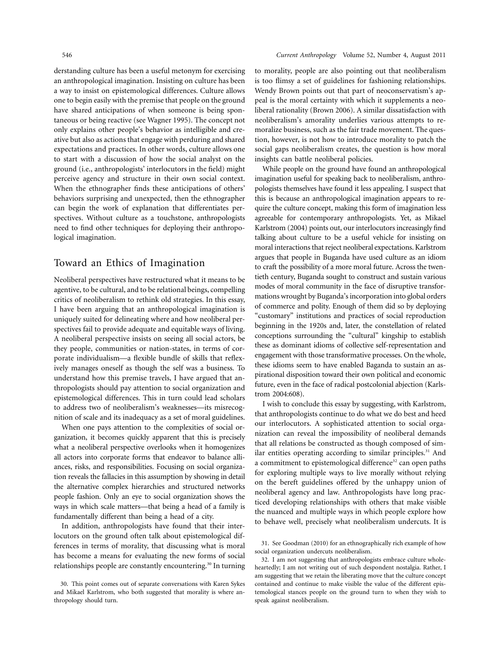derstanding culture has been a useful metonym for exercising an anthropological imagination. Insisting on culture has been a way to insist on epistemological differences. Culture allows one to begin easily with the premise that people on the ground have shared anticipations of when someone is being spontaneous or being reactive (see Wagner 1995). The concept not only explains other people's behavior as intelligible and creative but also as actions that engage with perduring and shared expectations and practices. In other words, culture allows one to start with a discussion of how the social analyst on the ground (i.e., anthropologists' interlocutors in the field) might perceive agency and structure in their own social context. When the ethnographer finds these anticipations of others' behaviors surprising and unexpected, then the ethnographer can begin the work of explanation that differentiates perspectives. Without culture as a touchstone, anthropologists need to find other techniques for deploying their anthropological imagination.

## Toward an Ethics of Imagination

Neoliberal perspectives have restructured what it means to be agentive, to be cultural, and to be relational beings, compelling critics of neoliberalism to rethink old strategies. In this essay, I have been arguing that an anthropological imagination is uniquely suited for delineating where and how neoliberal perspectives fail to provide adequate and equitable ways of living. A neoliberal perspective insists on seeing all social actors, be they people, communities or nation-states, in terms of corporate individualism—a flexible bundle of skills that reflexively manages oneself as though the self was a business. To understand how this premise travels, I have argued that anthropologists should pay attention to social organization and epistemological differences. This in turn could lead scholars to address two of neoliberalism's weaknesses—its misrecognition of scale and its inadequacy as a set of moral guidelines.

When one pays attention to the complexities of social organization, it becomes quickly apparent that this is precisely what a neoliberal perspective overlooks when it homogenizes all actors into corporate forms that endeavor to balance alliances, risks, and responsibilities. Focusing on social organization reveals the fallacies in this assumption by showing in detail the alternative complex hierarchies and structured networks people fashion. Only an eye to social organization shows the ways in which scale matters—that being a head of a family is fundamentally different than being a head of a city.

In addition, anthropologists have found that their interlocutors on the ground often talk about epistemological differences in terms of morality, that discussing what is moral has become a means for evaluating the new forms of social relationships people are constantly encountering.<sup>30</sup> In turning

to morality, people are also pointing out that neoliberalism is too flimsy a set of guidelines for fashioning relationships. Wendy Brown points out that part of neoconservatism's appeal is the moral certainty with which it supplements a neoliberal rationality (Brown 2006). A similar dissatisfaction with neoliberalism's amorality underlies various attempts to remoralize business, such as the fair trade movement. The question, however, is not how to introduce morality to patch the social gaps neoliberalism creates, the question is how moral insights can battle neoliberal policies.

While people on the ground have found an anthropological imagination useful for speaking back to neoliberalism, anthropologists themselves have found it less appealing. I suspect that this is because an anthropological imagination appears to require the culture concept, making this form of imagination less agreeable for contemporary anthropologists. Yet, as Mikael Karlstrom (2004) points out, our interlocutors increasingly find talking about culture to be a useful vehicle for insisting on moral interactions that reject neoliberal expectations. Karlstrom argues that people in Buganda have used culture as an idiom to craft the possibility of a more moral future. Across the twentieth century, Buganda sought to construct and sustain various modes of moral community in the face of disruptive transformations wrought by Buganda's incorporation into global orders of commerce and polity. Enough of them did so by deploying "customary" institutions and practices of social reproduction beginning in the 1920s and, later, the constellation of related conceptions surrounding the "cultural" kingship to establish these as dominant idioms of collective self-representation and engagement with those transformative processes. On the whole, these idioms seem to have enabled Baganda to sustain an aspirational disposition toward their own political and economic future, even in the face of radical postcolonial abjection (Karlstrom 2004:608).

I wish to conclude this essay by suggesting, with Karlstrom, that anthropologists continue to do what we do best and heed our interlocutors. A sophisticated attention to social organization can reveal the impossibility of neoliberal demands that all relations be constructed as though composed of similar entities operating according to similar principles.<sup>31</sup> And a commitment to epistemological difference<sup>32</sup> can open paths for exploring multiple ways to live morally without relying on the bereft guidelines offered by the unhappy union of neoliberal agency and law. Anthropologists have long practiced developing relationships with others that make visible the nuanced and multiple ways in which people explore how to behave well, precisely what neoliberalism undercuts. It is

<sup>30.</sup> This point comes out of separate conversations with Karen Sykes and Mikael Karlstrom, who both suggested that morality is where anthropology should turn.

<sup>31.</sup> See Goodman (2010) for an ethnographically rich example of how social organization undercuts neoliberalism.

<sup>32.</sup> I am not suggesting that anthropologists embrace culture wholeheartedly; I am not writing out of such despondent nostalgia. Rather, I am suggesting that we retain the liberating move that the culture concept contained and continue to make visible the value of the different epistemological stances people on the ground turn to when they wish to speak against neoliberalism.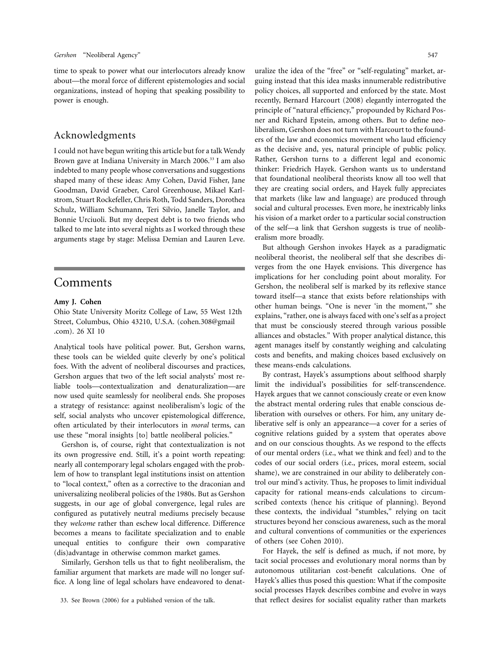time to speak to power what our interlocutors already know about—the moral force of different epistemologies and social organizations, instead of hoping that speaking possibility to power is enough.

#### Acknowledgments

I could not have begun writing this article but for a talk Wendy Brown gave at Indiana University in March 2006.<sup>33</sup> I am also indebted to many people whose conversations and suggestions shaped many of these ideas: Amy Cohen, David Fisher, Jane Goodman, David Graeber, Carol Greenhouse, Mikael Karlstrom, Stuart Rockefeller, Chris Roth, Todd Sanders, Dorothea Schulz, William Schumann, Teri Silvio, Janelle Taylor, and Bonnie Urciuoli. But my deepest debt is to two friends who talked to me late into several nights as I worked through these arguments stage by stage: Melissa Demian and Lauren Leve.

## Comments

#### **Amy J. Cohen**

Ohio State University Moritz College of Law, 55 West 12th Street, Columbus, Ohio 43210, U.S.A. [\(cohen.308@gmail](mailto:cohen.308@gmail.com) [.com\)](mailto:cohen.308@gmail.com). 26 XI 10

Analytical tools have political power. But, Gershon warns, these tools can be wielded quite cleverly by one's political foes. With the advent of neoliberal discourses and practices, Gershon argues that two of the left social analysts' most reliable tools—contextualization and denaturalization—are now used quite seamlessly for neoliberal ends. She proposes a strategy of resistance: against neoliberalism's logic of the self, social analysts who uncover epistemological difference, often articulated by their interlocutors in *moral* terms, can use these "moral insights [to] battle neoliberal policies."

Gershon is, of course, right that contextualization is not its own progressive end. Still, it's a point worth repeating: nearly all contemporary legal scholars engaged with the problem of how to transplant legal institutions insist on attention to "local context," often as a corrective to the draconian and universalizing neoliberal policies of the 1980s. But as Gershon suggests, in our age of global convergence, legal rules are configured as putatively neutral mediums precisely because they *welcome* rather than eschew local difference. Difference becomes a means to facilitate specialization and to enable unequal entities to configure their own comparative (dis)advantage in otherwise common market games.

Similarly, Gershon tells us that to fight neoliberalism, the familiar argument that markets are made will no longer suffice. A long line of legal scholars have endeavored to denat-

uralize the idea of the "free" or "self-regulating" market, arguing instead that this idea masks innumerable redistributive policy choices, all supported and enforced by the state. Most recently, Bernard Harcourt (2008) elegantly interrogated the principle of "natural efficiency," propounded by Richard Posner and Richard Epstein, among others. But to define neoliberalism, Gershon does not turn with Harcourt to the founders of the law and economics movement who laud efficiency as the decisive and, yes, natural principle of public policy. Rather, Gershon turns to a different legal and economic thinker: Friedrich Hayek. Gershon wants us to understand

that foundational neoliberal theorists know all too well that they are creating social orders, and Hayek fully appreciates that markets (like law and language) are produced through social and cultural processes. Even more, he inextricably links his vision of a market order to a particular social construction of the self—a link that Gershon suggests is true of neoliberalism more broadly.

But although Gershon invokes Hayek as a paradigmatic neoliberal theorist, the neoliberal self that she describes diverges from the one Hayek envisions. This divergence has implications for her concluding point about morality. For Gershon, the neoliberal self is marked by its reflexive stance toward itself—a stance that exists before relationships with other human beings. "One is never 'in the moment,'" she explains, "rather, one is always faced with one's self as a project that must be consciously steered through various possible alliances and obstacles." With proper analytical distance, this agent manages itself by constantly weighing and calculating costs and benefits, and making choices based exclusively on these means-ends calculations.

By contrast, Hayek's assumptions about selfhood sharply limit the individual's possibilities for self-transcendence. Hayek argues that we cannot consciously create or even know the abstract mental ordering rules that enable conscious deliberation with ourselves or others. For him, any unitary deliberative self is only an appearance—a cover for a series of cognitive relations guided by a system that operates above and on our conscious thoughts. As we respond to the effects of our mental orders (i.e., what we think and feel) and to the codes of our social orders (i.e., prices, moral esteem, social shame), we are constrained in our ability to deliberately control our mind's activity. Thus, he proposes to limit individual capacity for rational means-ends calculations to circumscribed contexts (hence his critique of planning). Beyond these contexts, the individual "stumbles," relying on tacit structures beyond her conscious awareness, such as the moral and cultural conventions of communities or the experiences of others (see Cohen 2010).

For Hayek, the self is defined as much, if not more, by tacit social processes and evolutionary moral norms than by autonomous utilitarian cost-benefit calculations. One of Hayek's allies thus posed this question: What if the composite social processes Hayek describes combine and evolve in ways that reflect desires for socialist equality rather than markets

<sup>33.</sup> See Brown (2006) for a published version of the talk.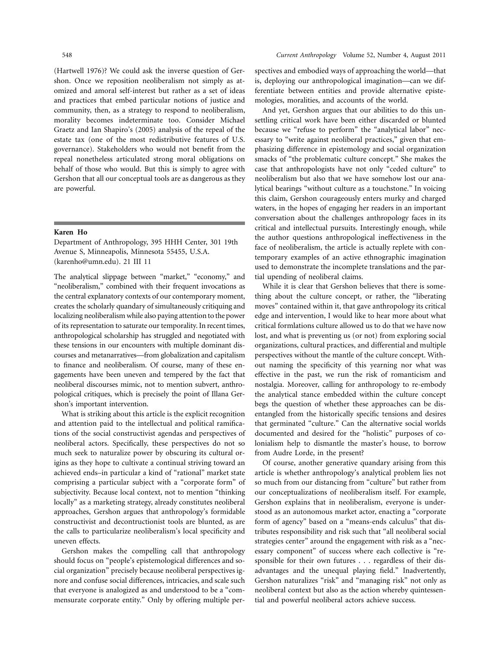(Hartwell 1976)? We could ask the inverse question of Gershon. Once we reposition neoliberalism not simply as atomized and amoral self-interest but rather as a set of ideas and practices that embed particular notions of justice and community, then, as a strategy to respond to neoliberalism, morality becomes indeterminate too. Consider Michael Graetz and Ian Shapiro's (2005) analysis of the repeal of the estate tax (one of the most redistributive features of U.S. governance). Stakeholders who would not benefit from the repeal nonetheless articulated strong moral obligations on behalf of those who would. But this is simply to agree with Gershon that all our conceptual tools are as dangerous as they are powerful.

#### **Karen Ho**

Department of Anthropology, 395 HHH Center, 301 19th Avenue S, Minneapolis, Minnesota 55455, U.S.A. [\(karenho@umn.edu\)](mailto:karenho@umn.edu). 21 III 11

The analytical slippage between "market," "economy," and "neoliberalism," combined with their frequent invocations as the central explanatory contexts of our contemporary moment, creates the scholarly quandary of simultaneously critiquing and localizing neoliberalism while also paying attention to the power of its representation to saturate our temporality. In recent times, anthropological scholarship has struggled and negotiated with these tensions in our encounters with multiple dominant discourses and metanarratives—from globalization and capitalism to finance and neoliberalism. Of course, many of these engagements have been uneven and tempered by the fact that neoliberal discourses mimic, not to mention subvert, anthropological critiques, which is precisely the point of Illana Gershon's important intervention.

What is striking about this article is the explicit recognition and attention paid to the intellectual and political ramifications of the social constructivist agendas and perspectives of neoliberal actors. Specifically, these perspectives do not so much seek to naturalize power by obscuring its cultural origins as they hope to cultivate a continual striving toward an achieved ends–in particular a kind of "rational" market state comprising a particular subject with a "corporate form" of subjectivity. Because local context, not to mention "thinking locally" as a marketing strategy, already constitutes neoliberal approaches, Gershon argues that anthropology's formidable constructivist and decontructionist tools are blunted, as are the calls to particularize neoliberalism's local specificity and uneven effects.

Gershon makes the compelling call that anthropology should focus on "people's epistemological differences and social organization" precisely because neoliberal perspectives ignore and confuse social differences, intricacies, and scale such that everyone is analogized as and understood to be a "commensurate corporate entity." Only by offering multiple per-

spectives and embodied ways of approaching the world—that is, deploying our anthropological imagination—can we differentiate between entities and provide alternative epistemologies, moralities, and accounts of the world.

And yet, Gershon argues that our abilities to do this unsettling critical work have been either discarded or blunted because we "refuse to perform" the "analytical labor" necessary to "write against neoliberal practices," given that emphasizing difference in epistemology and social organization smacks of "the problematic culture concept." She makes the case that anthropologists have not only "ceded culture" to neoliberalism but also that we have somehow lost our analytical bearings "without culture as a touchstone." In voicing this claim, Gershon courageously enters murky and charged waters, in the hopes of engaging her readers in an important conversation about the challenges anthropology faces in its critical and intellectual pursuits. Interestingly enough, while the author questions anthropological ineffectiveness in the face of neoliberalism, the article is actually replete with contemporary examples of an active ethnographic imagination used to demonstrate the incomplete translations and the partial upending of neoliberal claims.

While it is clear that Gershon believes that there is something about the culture concept, or rather, the "liberating moves" contained within it, that gave anthropology its critical edge and intervention, I would like to hear more about what critical formlations culture allowed us to do that we have now lost, and what is preventing us (or not) from exploring social organizations, cultural practices, and differential and multiple perspectives without the mantle of the culture concept. Without naming the specificity of this yearning nor what was effective in the past, we run the risk of romanticism and nostalgia. Moreover, calling for anthropology to re-embody the analytical stance embedded within the culture concept begs the question of whether these approaches can be disentangled from the historically specific tensions and desires that germinated "culture." Can the alternative social worlds documented and desired for the "holistic" purposes of colonialism help to dismantle the master's house, to borrow from Audre Lorde, in the present?

Of course, another generative quandary arising from this article is whether anthropology's analytical problem lies not so much from our distancing from "culture" but rather from our conceptualizations of neoliberalism itself. For example, Gershon explains that in neoliberalism, everyone is understood as an autonomous market actor, enacting a "corporate form of agency" based on a "means-ends calculus" that distributes responsibility and risk such that "all neoliberal social strategies center" around the engagement with risk as a "necessary component" of success where each collective is "responsible for their own futures . . . regardless of their disadvantages and the unequal playing field." Inadvertently, Gershon naturalizes "risk" and "managing risk" not only as neoliberal context but also as the action whereby quintessential and powerful neoliberal actors achieve success.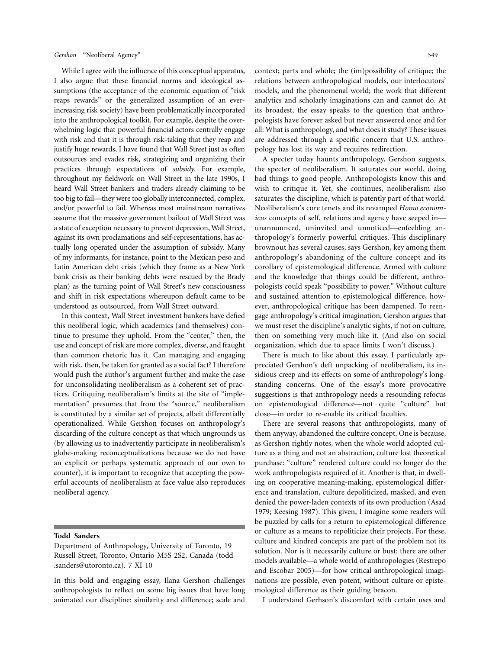While I agree with the influence of this conceptual apparatus, I also argue that these financial norms and ideological assumptions (the acceptance of the economic equation of "risk reaps rewards" or the generalized assumption of an everincreasing risk society) have been problematically incorporated into the anthropological toolkit. For example, despite the overwhelming logic that powerful financial actors centrally engage with risk and that it is through risk-taking that they reap and justify huge rewards, I have found that Wall Street just as often outsources and evades risk, strategizing and organizing their practices through expectations of *subsidy*. For example, throughout my fieldwork on Wall Street in the late 1990s, I heard Wall Street bankers and traders already claiming to be too big to fail—they were too globally interconnected, complex, and/or powerful to fail. Whereas most mainstream narratives assume that the massive government bailout of Wall Street was a state of exception necessary to prevent depression, Wall Street, against its own proclamations and self-representations, has actually long operated under the assumption of subsidy. Many of my informants, for instance, point to the Mexican peso and Latin American debt crisis (which they frame as a New York bank crisis as their banking debts were rescued by the Brady plan) as the turning point of Wall Street's new consciousness and shift in risk expectations whereupon default came to be understood as outsourced, from Wall Street outward.

In this context, Wall Street investment bankers have defied this neoliberal logic, which academics (and themselves) continue to presume they uphold. From the "center," then, the use and concept of risk are more complex, diverse, and fraught than common rhetoric has it. Can managing and engaging with risk, then, be taken for granted as a social fact? I therefore would push the author's argument further and make the case for unconsolidating neoliberalism as a coherent set of practices. Critiquing neoliberalism's limits at the site of "implementation" presumes that from the "source," neoliberalism is constituted by a similar set of projects, albeit differentially operationalized. While Gershon focuses on anthropology's discarding of the culture concept as that which ungrounds us (by allowing us to inadvertently participate in neoliberalism's globe-making reconceptualizations because we do not have an explicit or perhaps systematic approach of our own to counter), it is important to recognize that accepting the powerful accounts of neoliberalism at face value also reproduces neoliberal agency.

#### **Todd Sanders**

In this bold and engaging essay, Ilana Gershon challenges anthropologists to reflect on some big issues that have long animated our discipline: similarity and difference; scale and

context; parts and whole; the (im)possibility of critique; the relations between anthropological models, our interlocutors' models, and the phenomenal world; the work that different analytics and scholarly imaginations can and cannot do. At its broadest, the essay speaks to the question that anthropologists have forever asked but never answered once and for all: What is anthropology, and what does it study? These issues are addressed through a specific concern that U.S. anthropology has lost its way and requires redirection.

A specter today haunts anthropology, Gershon suggests, the specter of neoliberalism. It saturates our world, doing bad things to good people. Anthropologists know this and wish to critique it. Yet, she continues, neoliberalism also saturates the discipline, which is patently part of that world. Neoliberalism's core tenets and its revamped *Homo economicus* concepts of self, relations and agency have seeped in unannounced, uninvited and unnoticed—enfeebling anthropology's formerly powerful critiques. This disciplinary brownout has several causes, says Gershon, key among them anthropology's abandoning of the culture concept and its corollary of epistemological difference. Armed with culture and the knowledge that things could be different, anthropologists could speak "possibility to power." Without culture and sustained attention to epistemological difference, however, anthropological critique has been dampened. To reengage anthropology's critical imagination, Gershon argues that we must reset the discipline's analytic sights, if not on culture, then on something very much like it. (And also on social organization, which due to space limits I won't discuss.)

There is much to like about this essay. I particularly appreciated Gershon's deft unpacking of neoliberalism, its insidious creep and its effects on some of anthropology's longstanding concerns. One of the essay's more provocative suggestions is that anthropology needs a resounding refocus on epistemological difference—not quite "culture" but close—in order to re-enable its critical faculties.

There are several reasons that anthropologists, many of them anyway, abandoned the culture concept. One is because, as Gershon rightly notes, when the whole world adopted culture as a thing and not an abstraction, culture lost theoretical purchase: "culture" rendered culture could no longer do the work anthropologists required of it. Another is that, in dwelling on cooperative meaning-making, epistemological difference and translation, culture depoliticized, masked, and even denied the power-laden contexts of its own production (Asad 1979; Keesing 1987). This given, I imagine some readers will be puzzled by calls for a return to epistemological difference or culture as a means to repoliticize their projects. For these, culture and kindred concepts are part of the problem not its solution. Nor is it necessarily culture or bust: there are other models available—a whole world of anthropologies (Restrepo and Escobar 2005)—for how critical anthropological imaginations are possible, even potent, without culture or epistemological difference as their guiding beacon.

I understand Gerhson's discomfort with certain uses and

Department of Anthropology, University of Toronto, 19 Russell Street, Toronto, Ontario M5S 2S2, Canada [\(todd](mailto:todd.sanders@utoronto.ca) [.sanders@utoronto.ca\)](mailto:todd.sanders@utoronto.ca). 7 XI 10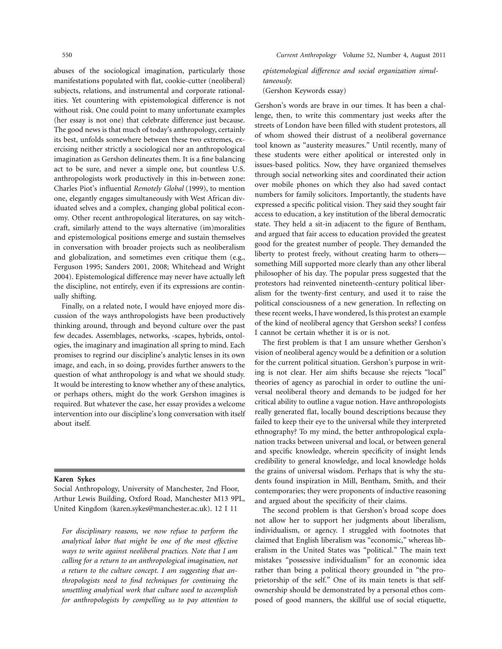abuses of the sociological imagination, particularly those manifestations populated with flat, cookie-cutter (neoliberal) subjects, relations, and instrumental and corporate rationalities. Yet countering with epistemological difference is not without risk. One could point to many unfortunate examples (her essay is not one) that celebrate difference just because. The good news is that much of today's anthropology, certainly its best, unfolds somewhere between these two extremes, exercising neither strictly a sociological nor an anthropological imagination as Gershon delineates them. It is a fine balancing act to be sure, and never a simple one, but countless U.S. anthropologists work productively in this in-between zone: Charles Piot's influential *Remotely Global* (1999), to mention one, elegantly engages simultaneously with West African dividuated selves and a complex, changing global political economy. Other recent anthropological literatures, on say witchcraft, similarly attend to the ways alternative (im)moralities and epistemological positions emerge and sustain themselves in conversation with broader projects such as neoliberalism and globalization, and sometimes even critique them (e.g., Ferguson 1995; Sanders 2001, 2008; Whitehead and Wright 2004). Epistemological difference may never have actually left the discipline, not entirely, even if its expressions are continually shifting.

Finally, on a related note, I would have enjoyed more discussion of the ways anthropologists have been productively thinking around, through and beyond culture over the past few decades. Assemblages, networks, -scapes, hybrids, ontologies, the imaginary and imagination all spring to mind. Each promises to regrind our discipline's analytic lenses in its own image, and each, in so doing, provides further answers to the question of what anthropology is and what we should study. It would be interesting to know whether any of these analytics, or perhaps others, might do the work Gershon imagines is required. But whatever the case, her essay provides a welcome intervention into our discipline's long conversation with itself about itself.

#### **Karen Sykes**

Social Anthropology, University of Manchester, 2nd Floor, Arthur Lewis Building, Oxford Road, Manchester M13 9PL, United Kingdom [\(karen.sykes@manchester.ac.uk\)](mailto:karen.sykes@manchester.ac.uk). 12 I 11

*For disciplinary reasons, we now refuse to perform the analytical labor that might be one of the most effective ways to write against neoliberal practices. Note that I am calling for a return to an anthropological imagination, not a return to the culture concept. I am suggesting that anthropologists need to find techniques for continuing the unsettling analytical work that culture used to accomplish for anthropologists by compelling us to pay attention to*

*epistemological difference and social organization simultaneously.*

(Gershon Keywords essay)

Gershon's words are brave in our times. It has been a challenge, then, to write this commentary just weeks after the streets of London have been filled with student protestors, all of whom showed their distrust of a neoliberal governance tool known as "austerity measures." Until recently, many of these students were either apolitical or interested only in issues-based politics. Now, they have organized themselves through social networking sites and coordinated their action over mobile phones on which they also had saved contact numbers for family solicitors. Importantly, the students have expressed a specific political vision. They said they sought fair access to education, a key institution of the liberal democratic state. They held a sit-in adjacent to the figure of Bentham, and argued that fair access to education provided the greatest good for the greatest number of people. They demanded the liberty to protest freely, without creating harm to others something Mill supported more clearly than any other liberal philosopher of his day. The popular press suggested that the protestors had reinvented nineteenth-century political liberalism for the twenty-first century, and used it to raise the political consciousness of a new generation. In reflecting on these recent weeks, I have wondered, Is this protest an example of the kind of neoliberal agency that Gershon seeks? I confess I cannot be certain whether it is or is not.

The first problem is that I am unsure whether Gershon's vision of neoliberal agency would be a definition or a solution for the current political situation. Gershon's purpose in writing is not clear. Her aim shifts because she rejects "local" theories of agency as parochial in order to outline the universal neoliberal theory and demands to be judged for her critical ability to outline a vague notion. Have anthropologists really generated flat, locally bound descriptions because they failed to keep their eye to the universal while they interpreted ethnography? To my mind, the better anthropological explanation tracks between universal and local, or between general and specific knowledge, wherein specificity of insight lends credibility to general knowledge, and local knowledge holds the grains of universal wisdom. Perhaps that is why the students found inspiration in Mill, Bentham, Smith, and their contemporaries; they were proponents of inductive reasoning and argued about the specificity of their claims.

The second problem is that Gershon's broad scope does not allow her to support her judgments about liberalism, individualism, or agency. I struggled with footnotes that claimed that English liberalism was "economic," whereas liberalism in the United States was "political." The main text mistakes "possessive individualism" for an economic idea rather than being a political theory grounded in "the proprietorship of the self." One of its main tenets is that selfownership should be demonstrated by a personal ethos composed of good manners, the skillful use of social etiquette,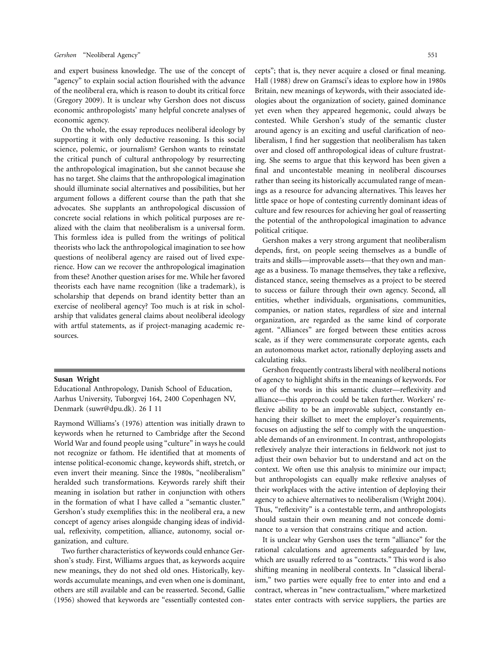and expert business knowledge. The use of the concept of "agency" to explain social action flourished with the advance of the neoliberal era, which is reason to doubt its critical force (Gregory 2009). It is unclear why Gershon does not discuss economic anthropologists' many helpful concrete analyses of economic agency.

On the whole, the essay reproduces neoliberal ideology by supporting it with only deductive reasoning. Is this social science, polemic, or journalism? Gershon wants to reinstate the critical punch of cultural anthropology by resurrecting the anthropological imagination, but she cannot because she has no target. She claims that the anthropological imagination should illuminate social alternatives and possibilities, but her argument follows a different course than the path that she advocates. She supplants an anthropological discussion of concrete social relations in which political purposes are realized with the claim that neoliberalism is a universal form. This formless idea is pulled from the writings of political theorists who lack the anthropological imagination to see how questions of neoliberal agency are raised out of lived experience. How can we recover the anthropological imagination from these? Another question arises for me. While her favored theorists each have name recognition (like a trademark), is scholarship that depends on brand identity better than an exercise of neoliberal agency? Too much is at risk in scholarship that validates general claims about neoliberal ideology with artful statements, as if project-managing academic resources.

#### **Susan Wright**

Educational Anthropology, Danish School of Education, Aarhus University, Tuborgvej 164, 2400 Copenhagen NV, Denmark [\(suwr@dpu.dk\)](mailto:suwr@dpu.dk). 26 I 11

Raymond Williams's (1976) attention was initially drawn to keywords when he returned to Cambridge after the Second World War and found people using "culture" in ways he could not recognize or fathom. He identified that at moments of intense political-economic change, keywords shift, stretch, or even invert their meaning. Since the 1980s, "neoliberalism" heralded such transformations. Keywords rarely shift their meaning in isolation but rather in conjunction with others in the formation of what I have called a "semantic cluster." Gershon's study exemplifies this: in the neoliberal era, a new concept of agency arises alongside changing ideas of individual, reflexivity, competition, alliance, autonomy, social organization, and culture.

Two further characteristics of keywords could enhance Gershon's study. First, Williams argues that, as keywords acquire new meanings, they do not shed old ones. Historically, keywords accumulate meanings, and even when one is dominant, others are still available and can be reasserted. Second, Gallie (1956) showed that keywords are "essentially contested concepts"; that is, they never acquire a closed or final meaning. Hall (1988) drew on Gramsci's ideas to explore how in 1980s Britain, new meanings of keywords, with their associated ideologies about the organization of society, gained dominance yet even when they appeared hegemonic, could always be contested. While Gershon's study of the semantic cluster around agency is an exciting and useful clarification of neoliberalism, I find her suggestion that neoliberalism has taken over and closed off anthropological ideas of culture frustrating. She seems to argue that this keyword has been given a final and uncontestable meaning in neoliberal discourses rather than seeing its historically accumulated range of meanings as a resource for advancing alternatives. This leaves her little space or hope of contesting currently dominant ideas of culture and few resources for achieving her goal of reasserting the potential of the anthropological imagination to advance political critique.

Gershon makes a very strong argument that neoliberalism depends, first, on people seeing themselves as a bundle of traits and skills—improvable assets—that they own and manage as a business. To manage themselves, they take a reflexive, distanced stance, seeing themselves as a project to be steered to success or failure through their own agency. Second, all entities, whether individuals, organisations, communities, companies, or nation states, regardless of size and internal organization, are regarded as the same kind of corporate agent. "Alliances" are forged between these entities across scale, as if they were commensurate corporate agents, each an autonomous market actor, rationally deploying assets and calculating risks.

Gershon frequently contrasts liberal with neoliberal notions of agency to highlight shifts in the meanings of keywords. For two of the words in this semantic cluster—reflexivity and alliance—this approach could be taken further. Workers' reflexive ability to be an improvable subject, constantly enhancing their skillset to meet the employer's requirements, focuses on adjusting the self to comply with the unquestionable demands of an environment. In contrast, anthropologists reflexively analyze their interactions in fieldwork not just to adjust their own behavior but to understand and act on the context. We often use this analysis to minimize our impact; but anthropologists can equally make reflexive analyses of their workplaces with the active intention of deploying their agency to achieve alternatives to neoliberalism (Wright 2004). Thus, "reflexivity" is a contestable term, and anthropologists should sustain their own meaning and not concede dominance to a version that constrains critique and action.

It is unclear why Gershon uses the term "alliance" for the rational calculations and agreements safeguarded by law, which are usually referred to as "contracts." This word is also shifting meaning in neoliberal contexts. In "classical liberalism," two parties were equally free to enter into and end a contract, whereas in "new contractualism," where marketized states enter contracts with service suppliers, the parties are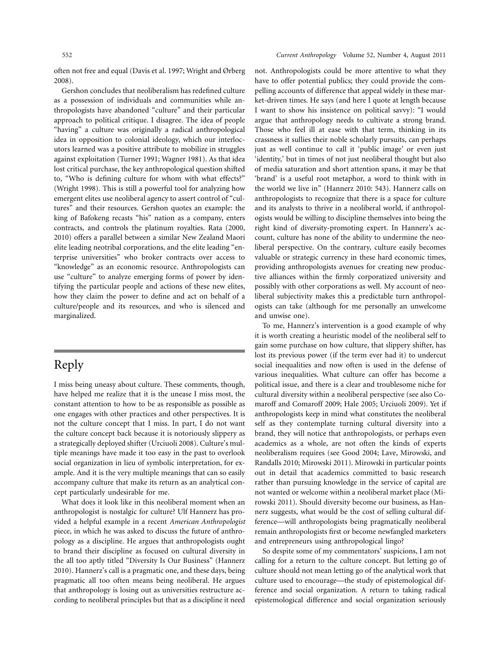often not free and equal (Davis et al. 1997; Wright and Ørberg 2008).

Gershon concludes that neoliberalism has redefined culture as a possession of individuals and communities while anthropologists have abandoned "culture" and their particular approach to political critique. I disagree. The idea of people "having" a culture was originally a radical anthropological idea in opposition to colonial ideology, which our interlocutors learned was a positive attribute to mobilize in struggles against exploitation (Turner 1991; Wagner 1981). As that idea lost critical purchase, the key anthropological question shifted to, "Who is defining culture for whom with what effects?" (Wright 1998). This is still a powerful tool for analyzing how emergent elites use neoliberal agency to assert control of "cultures" and their resources. Gershon quotes an example: the king of Bafokeng recasts "his" nation as a company, enters contracts, and controls the platinum royalties. Rata (2000, 2010) offers a parallel between a similar New Zealand Maori elite leading neotribal corporations, and the elite leading "enterprise universities" who broker contracts over access to "knowledge" as an economic resource. Anthropologists can use "culture" to analyze emerging forms of power by identifying the particular people and actions of these new elites, how they claim the power to define and act on behalf of a culture/people and its resources, and who is silenced and marginalized.

# Reply

I miss being uneasy about culture. These comments, though, have helped me realize that it is the unease I miss most, the constant attention to how to be as responsible as possible as one engages with other practices and other perspectives. It is not the culture concept that I miss. In part, I do not want the culture concept back because it is notoriously slippery as a strategically deployed shifter (Urciuoli 2008). Culture's multiple meanings have made it too easy in the past to overlook social organization in lieu of symbolic interpretation, for example. And it is the very multiple meanings that can so easily accompany culture that make its return as an analytical concept particularly undesirable for me.

What does it look like in this neoliberal moment when an anthropologist is nostalgic for culture? Ulf Hannerz has provided a helpful example in a recent *American Anthropologist* piece, in which he was asked to discuss the future of anthropology as a discipline. He argues that anthropologists ought to brand their discipline as focused on cultural diversity in the all too aptly titled "Diversity Is Our Business" (Hannerz 2010). Hannerz's call is a pragmatic one, and these days, being pragmatic all too often means being neoliberal. He argues that anthropology is losing out as universities restructure according to neoliberal principles but that as a discipline it need

not. Anthropologists could be more attentive to what they have to offer potential publics; they could provide the compelling accounts of difference that appeal widely in these market-driven times. He says (and here I quote at length because I want to show his insistence on political savvy): "I would argue that anthropology needs to cultivate a strong brand. Those who feel ill at ease with that term, thinking in its crassness it sullies their noble scholarly pursuits, can perhaps just as well continue to call it 'public image' or even just 'identity,' but in times of not just neoliberal thought but also of media saturation and short attention spans, it may be that 'brand' is a useful root metaphor, a word to think with in the world we live in" (Hannerz 2010: 543). Hannerz calls on anthropologists to recognize that there is a space for culture and its analysts to thrive in a neoliberal world, if anthropologists would be willing to discipline themselves into being the right kind of diversity-promoting expert. In Hannerz's account, culture has none of the ability to undermine the neoliberal perspective. On the contrary, culture easily becomes valuable or strategic currency in these hard economic times, providing anthropologists avenues for creating new productive alliances within the firmly corporatized university and possibly with other corporations as well. My account of neoliberal subjectivity makes this a predictable turn anthropologists can take (although for me personally an unwelcome and unwise one).

To me, Hannerz's intervention is a good example of why it is worth creating a heuristic model of the neoliberal self to gain some purchase on how culture, that slippery shifter, has lost its previous power (if the term ever had it) to undercut social inequalities and now often is used in the defense of various inequalities. What culture can offer has become a political issue, and there is a clear and troublesome niche for cultural diversity within a neoliberal perspective (see also Comaroff and Comaroff 2009; Hale 2005; Urciuoli 2009). Yet if anthropologists keep in mind what constitutes the neoliberal self as they contemplate turning cultural diversity into a brand, they will notice that anthropologists, or perhaps even academics as a whole, are not often the kinds of experts neoliberalism requires (see Good 2004; Lave, Mirowski, and Randalls 2010; Mirowski 2011). Mirowski in particular points out in detail that academics committed to basic research rather than pursuing knowledge in the service of capital are not wanted or welcome within a neoliberal market place (Mirowski 2011). Should diversity become our business, as Hannerz suggests, what would be the cost of selling cultural difference—will anthropologists being pragmatically neoliberal remain anthropologists first or become newfangled marketers and entrepreneurs using anthropological lingo?

So despite some of my commentators' suspicions, I am not calling for a return to the culture concept. But letting go of culture should not mean letting go of the analytical work that culture used to encourage—the study of epistemological difference and social organization. A return to taking radical epistemological difference and social organization seriously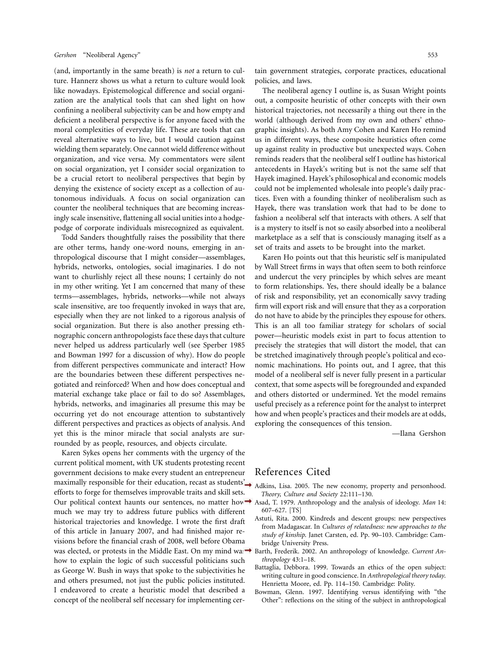(and, importantly in the same breath) is *not* a return to culture. Hannerz shows us what a return to culture would look like nowadays. Epistemological difference and social organization are the analytical tools that can shed light on how confining a neoliberal subjectivity can be and how empty and deficient a neoliberal perspective is for anyone faced with the moral complexities of everyday life. These are tools that can reveal alternative ways to live, but I would caution against wielding them separately. One cannot wield difference without organization, and vice versa. My commentators were silent on social organization, yet I consider social organization to be a crucial retort to neoliberal perspectives that begin by denying the existence of society except as a collection of autonomous individuals. A focus on social organization can counter the neoliberal techniques that are becoming increasingly scale insensitive, flattening all social unities into a hodgepodge of corporate individuals misrecognized as equivalent.

Todd Sanders thoughtfully raises the possibility that there are other terms, handy one-word nouns, emerging in anthropological discourse that I might consider—assemblages, hybrids, networks, ontologies, social imaginaries. I do not want to churlishly reject all these nouns; I certainly do not in my other writing. Yet I am concerned that many of these terms—assemblages, hybrids, networks—while not always scale insensitive, are too frequently invoked in ways that are, especially when they are not linked to a rigorous analysis of social organization. But there is also another pressing ethnographic concern anthropologists face these days that culture never helped us address particularly well (see Sperber 1985 and Bowman 1997 for a discussion of why). How do people from different perspectives communicate and interact? How are the boundaries between these different perspectives negotiated and reinforced? When and how does conceptual and material exchange take place or fail to do so? Assemblages, hybrids, networks, and imaginaries all presume this may be occurring yet do not encourage attention to substantively different perspectives and practices as objects of analysis. And yet this is the minor miracle that social analysts are surrounded by as people, resources, and objects circulate.

Karen Sykes opens her comments with the urgency of the current political moment, with UK students protesting recent government decisions to make every student an entrepreneur maximally responsible for their education, recast as students' efforts to forge for themselves improvable traits and skill sets. Our political context haunts our sentences, no matter how  $\rightarrow$ much we may try to address future publics with different historical trajectories and knowledge. I wrote the first draft of this article in January 2007, and had finished major revisions before the financial crash of 2008, well before Obama was elected, or protests in the Middle East. On my mind wa how to explain the logic of such successful politicians such as George W. Bush in ways that spoke to the subjectivities he and others presumed, not just the public policies instituted. I endeavored to create a heuristic model that described a concept of the neoliberal self necessary for implementing cer-

tain government strategies, corporate practices, educational policies, and laws.

The neoliberal agency I outline is, as Susan Wright points out, a composite heuristic of other concepts with their own historical trajectories, not necessarily a thing out there in the world (although derived from my own and others' ethnographic insights). As both Amy Cohen and Karen Ho remind us in different ways, these composite heuristics often come up against reality in productive but unexpected ways. Cohen reminds readers that the neoliberal self I outline has historical antecedents in Hayek's writing but is not the same self that Hayek imagined. Hayek's philosophical and economic models could not be implemented wholesale into people's daily practices. Even with a founding thinker of neoliberalism such as Hayek, there was translation work that had to be done to fashion a neoliberal self that interacts with others. A self that is a mystery to itself is not so easily absorbed into a neoliberal marketplace as a self that is consciously managing itself as a set of traits and assets to be brought into the market.

Karen Ho points out that this heuristic self is manipulated by Wall Street firms in ways that often seem to both reinforce and undercut the very principles by which selves are meant to form relationships. Yes, there should ideally be a balance of risk and responsibility, yet an economically savvy trading firm will export risk and will ensure that they as a corporation do not have to abide by the principles they espouse for others. This is an all too familiar strategy for scholars of social power—heuristic models exist in part to focus attention to precisely the strategies that will distort the model, that can be stretched imaginatively through people's political and economic machinations. Ho points out, and I agree, that this model of a neoliberal self is never fully present in a particular context, that some aspects will be foregrounded and expanded and others distorted or undermined. Yet the model remains useful precisely as a reference point for the analyst to interpret how and when people's practices and their models are at odds, exploring the consequences of this tension.

—Ilana Gershon

## References Cited

- Adkins, Lisa. 2005. The new economy, property and personhood. *Theory, Culture and Society* 22:111–130.
- Asad, T. 1979. Anthropology and the analysis of ideology. *Man* 14: 607–627. [TS]
- Astuti, Rita. 2000. Kindreds and descent groups: new perspectives from Madagascar. In *Cultures of relatedness: new approaches to the study of kinship*. Janet Carsten, ed. Pp. 90–103. Cambridge: Cambridge University Press.
- Barth, Frederik. 2002. An anthropology of knowledge. *Current Anthropology* 43:1–18.
- Battaglia, Debbora. 1999. Towards an ethics of the open subject: writing culture in good conscience. In *Anthropological theory today*. Henrietta Moore, ed. Pp. 114–150. Cambridge: Polity.
- Bowman, Glenn. 1997. Identifying versus identifying with "the Other": reflections on the siting of the subject in anthropological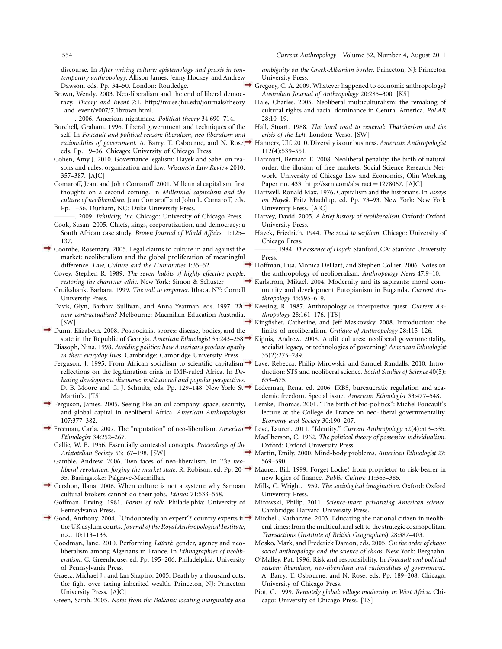discourse. In *After writing culture: epistemology and praxis in contemporary anthropology*. Allison James, Jenny Hockey, and Andrew Dawson, eds. Pp. 34–50. London: Routledge.

Brown, Wendy. 2003. Neo-liberalism and the end of liberal democracy. *Theory and Event* 7:1. [http://muse.jhu.edu/journals/theory](http://muse.jhu.edu/journals/theory_and_event/v007/7.1brown.html) [\\_and\\_event/v007/7.1brown.html.](http://muse.jhu.edu/journals/theory_and_event/v007/7.1brown.html)

———. 2006. American nightmare. *Political theory* 34:690–714.

- Burchell, Graham. 1996. Liberal government and techniques of the self. In *Foucault and political reason: liberalism, neo-liberalism and* eds. Pp. 19–36. Chicago: University of Chicago Press.
- Cohen, Amy J. 2010. Governance legalism: Hayek and Sabel on reasons and rules, organization and law. *Wisconsin Law Review* 2010: 357–387. [AJC]
- Comaroff, Jean, and John Comaroff. 2001. Millennial capitalism: first thoughts on a second coming. In *Millennial capitalism and the culture of neoliberalism*. Jean Comaroff and John L. Comaroff, eds. Pp. 1–56. Durham, NC: Duke University Press.
- -. 2009. *Ethnicity, Inc. Chicago: University of Chicago Press.*
- Cook, Susan. 2005. Chiefs, kings, corporatization, and democracy: a South African case study. *Brown Journal of World Affairs* 11:125– 137.
- Coombe, Rosemary. 2005. Legal claims to culture in and against the market: neoliberalism and the global proliferation of meaningful difference. *Law, Culture and the Humanities* 1:35–52.
- Covey, Stephen R. 1989. *The seven habits of highly effective people: restoring the character ethic*. New York: Simon & Schuster
- Cruikshank, Barbara. 1999. *The will to empower*. Ithaca, NY: Cornell University Press.
- *new contractualism?* Melbourne: Macmillan Education Australia. [SW]
- Dunn, Elizabeth. 2008. Postsocialist spores: disease, bodies, and the Eliasoph, Nina. 1998. *Avoiding politics: how Americans produce apathy in their everyday lives.* Cambridge: Cambridge University Press.
- Ferguson, J. 1995. From African socialism to scientific capitalism: Lave, Rebecca, Philip Mirowski, and Samuel Randalls. 2010. Introreflections on the legitimation crisis in IMF-ruled Africa. In *Debating development discourse: institutional and popular perspectives*. D. B. Moore and G. J. Schmitz, eds. Pp. 129-148. New York: St. Martin's. [TS]
- Ferguson, James. 2005. Seeing like an oil company: space, security, and global capital in neoliberal Africa. *American Anthropologist* 107:377–382.
- Freeman, Carla. 2007. The "reputation" of neo-liberalism. *American* Leve, Lauren. 2011. "Identity." *Current Anthropology* 52(4):513–535. *Ethnologist* 34:252–267.
	- Gallie, W. B. 1956. Essentially contested concepts. *Proceedings of the Aristotelian Society* 56:167–198. [SW]
	- Gamble, Andrew. 2006. Two faces of neo-liberalism. In *The neo-*35. Basingstoke: Palgrave-Macmillan.
- Gershon, Ilana. 2006. When culture is not a system: why Samoan cultural brokers cannot do their jobs. *Ethnos* 71:533–558. Goffman, Erving. 1981. *Forms of talk*. Philadelphia: University of
- Pennsylvania Press. Good, Anthony. 2004. "Undoubtedly an expert"? country experts in  $\rightarrow$ the UK asylum courts. *Journal of the Royal Anthropological Institute*, n.s., 10:113–133.
	- Goodman, Jane. 2010. Performing *Laïcité*: gender, agency and neoliberalism among Algerians in France. In *Ethnographies of neoliberalism*. C. Greenhouse, ed. Pp. 195–206. Philadelphia: University of Pennsylvania Press.
	- Graetz, Michael J., and Ian Shapiro. 2005. Death by a thousand cuts: the fight over taxing inherited wealth. Princeton, NJ: Princeton University Press. [AJC]

Green, Sarah. 2005. *Notes from the Balkans: locating marginality and*

*ambiguity on the Greek-Albanian border*. Princeton, NJ: Princeton University Press.

- Gregory, C. A. 2009. Whatever happened to economic anthropology? *Australian Journal of Anthropology* 20:285–300. [KS]
- Hale, Charles. 2005. Neoliberal multiculturalism: the remaking of cultural rights and racial dominance in Central America. *PoLAR* 28:10–19.
- Hall, Stuart. 1988. *The hard road to renewal: Thatcherism and the crisis of the Left.* London: Verso. [SW]
- *rationalities of government*. A. Barry, T. Osbourne, and N. Rose, Hannerz, Ulf. 2010. Diversity is our business. *American Anthropologist* 112(4):539–551.
	- Harcourt, Bernard E. 2008. Neoliberal penality: the birth of natural order, the illusion of free markets. Social Science Research Network. University of Chicago Law and Economics, Olin Working Paper no. 433. [http://ssrn.com/abstract](http://ssrn.com/abstract=1278067)=1278067. [AJC]
	- Hartwell, Ronald Max. 1976. Capitalism and the historians. In *Essays on Hayek*. Fritz Machlup, ed. Pp. 73–93. New York: New York University Press. [AJC]
	- Harvey, David. 2005. *A brief history of neoliberalism*. Oxford: Oxford University Press.
	- Hayek, Friedrich. 1944. *The road to serfdom*. Chicago: University of Chicago Press.
	- -. 1984. *The essence of Hayek*. Stanford, CA: Stanford University Press.
	- Hoffman, Lisa, Monica DeHart, and Stephen Collier. 2006. Notes on the anthropology of neoliberalism. *Anthropology News* 47:9–10.
	- Karlstrom, Mikael. 2004. Modernity and its aspirants: moral community and development Eutopianism in Buganda. *Current Anthropology* 45:595–619.
- Davis, Glyn, Barbara Sullivan, and Anna Yeatman, eds. 1997. The Keesing, R. 1987. Anthropology as interpretive quest. *Current Anthropology* 28:161–176. [TS]
	- Kingfisher, Catherine, and Jeff Maskovsky. 2008. Introduction: the limits of neoliberalism. *Critique of Anthropology* 28:115–126.
	- state in the Republic of Georgia. *American Ethnologist* 35:243–258 → Kipnis, Andrew. 2008. Audit cultures: neoliberal governmentality, socialist legacy, or technologies of governing? *American Ethnologist* 35(2):275–289.
		- duction: STS and neoliberal science. *Social Studies of Science* 40(5): 659–675.
		- Lederman, Rena, ed. 2006. IRBS, bureaucratic regulation and academic freedom. Special issue, *American Ethnologist* 33:477–548.
		- Lemke, Thomas. 2001. "The birth of bio-politics": Michel Foucault's lecture at the College de France on neo-liberal governmentality. *Economy and Society* 30:190–207.
		- MacPherson, C. 1962. *The political theory of possessive individualism.* Oxford: Oxford University Press.
		- Martin, Emily. 2000. Mind-body problems. *American Ethnologist* 27: 569–590.
	- *liberal revolution: forging the market state*. R. Robison, ed. Pp. 20– Maurer, Bill. 1999. Forget Locke? from proprietor to risk-bearer in new logics of finance. *Public Culture* 11:365–385.
		- Mills, C. Wright. 1959. *The sociological imagination.* Oxford: Oxford University Press.
		- Mirowski, Philip. 2011. *Science-mart: privatizing American science*. Cambridge: Harvard University Press.
		- Mitchell, Katharyne. 2003. Educating the national citizen in neoliberal times: from the multicultural self to the strategic cosmopolitan. *Transactions* (*Institute of British Geographers*) 28:387–403.
		- Mosko, Mark, and Frederick Damon, eds. 2005. *On the order of chaos: social anthropology and the science of chaos.* New York: Berghahn.
		- O'Malley, Pat. 1996. Risk and responsibility. In *Foucault and political reason: liberalism, neo-liberalism and rationalities of government.*. A. Barry, T. Osbourne, and N. Rose, eds. Pp. 189–208. Chicago: University of Chicago Press.
		- Piot, C. 1999. *Remotely global: village modernity in West Africa*. Chicago: University of Chicago Press. [TS]